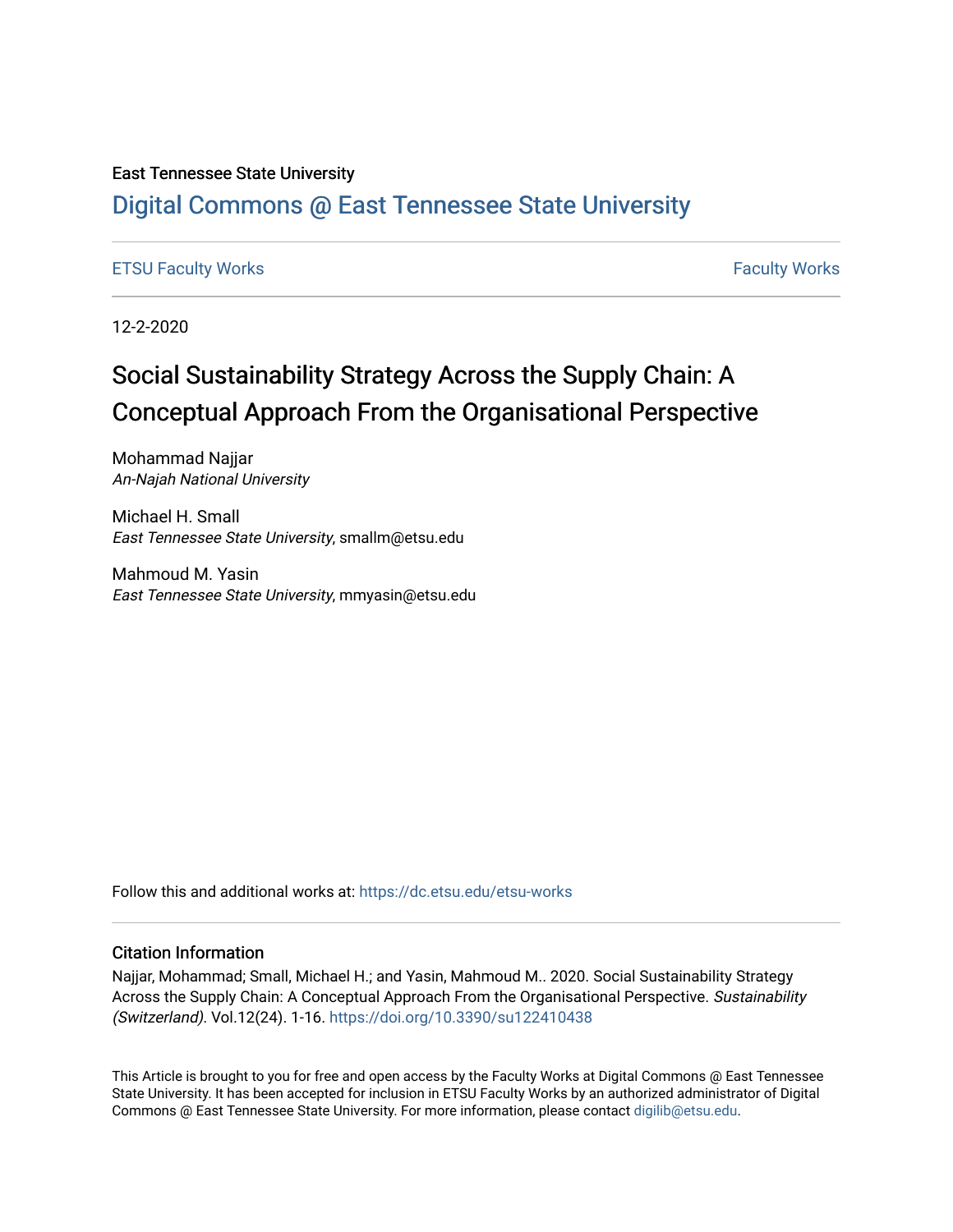## East Tennessee State University

# [Digital Commons @ East Tennessee State University](https://dc.etsu.edu/)

## [ETSU Faculty Works](https://dc.etsu.edu/etsu-works) **Faculty Works** [Faculty Works](https://dc.etsu.edu/faculty-works) **Faculty Works**

12-2-2020

# Social Sustainability Strategy Across the Supply Chain: A Conceptual Approach From the Organisational Perspective

Mohammad Najjar An-Najah National University

Michael H. Small East Tennessee State University, smallm@etsu.edu

Mahmoud M. Yasin East Tennessee State University, mmyasin@etsu.edu

Follow this and additional works at: [https://dc.etsu.edu/etsu-works](https://dc.etsu.edu/etsu-works?utm_source=dc.etsu.edu%2Fetsu-works%2F9451&utm_medium=PDF&utm_campaign=PDFCoverPages) 

## Citation Information

Najjar, Mohammad; Small, Michael H.; and Yasin, Mahmoud M.. 2020. Social Sustainability Strategy Across the Supply Chain: A Conceptual Approach From the Organisational Perspective. Sustainability (Switzerland). Vol.12(24). 1-16. <https://doi.org/10.3390/su122410438>

This Article is brought to you for free and open access by the Faculty Works at Digital Commons @ East Tennessee State University. It has been accepted for inclusion in ETSU Faculty Works by an authorized administrator of Digital Commons @ East Tennessee State University. For more information, please contact [digilib@etsu.edu.](mailto:digilib@etsu.edu)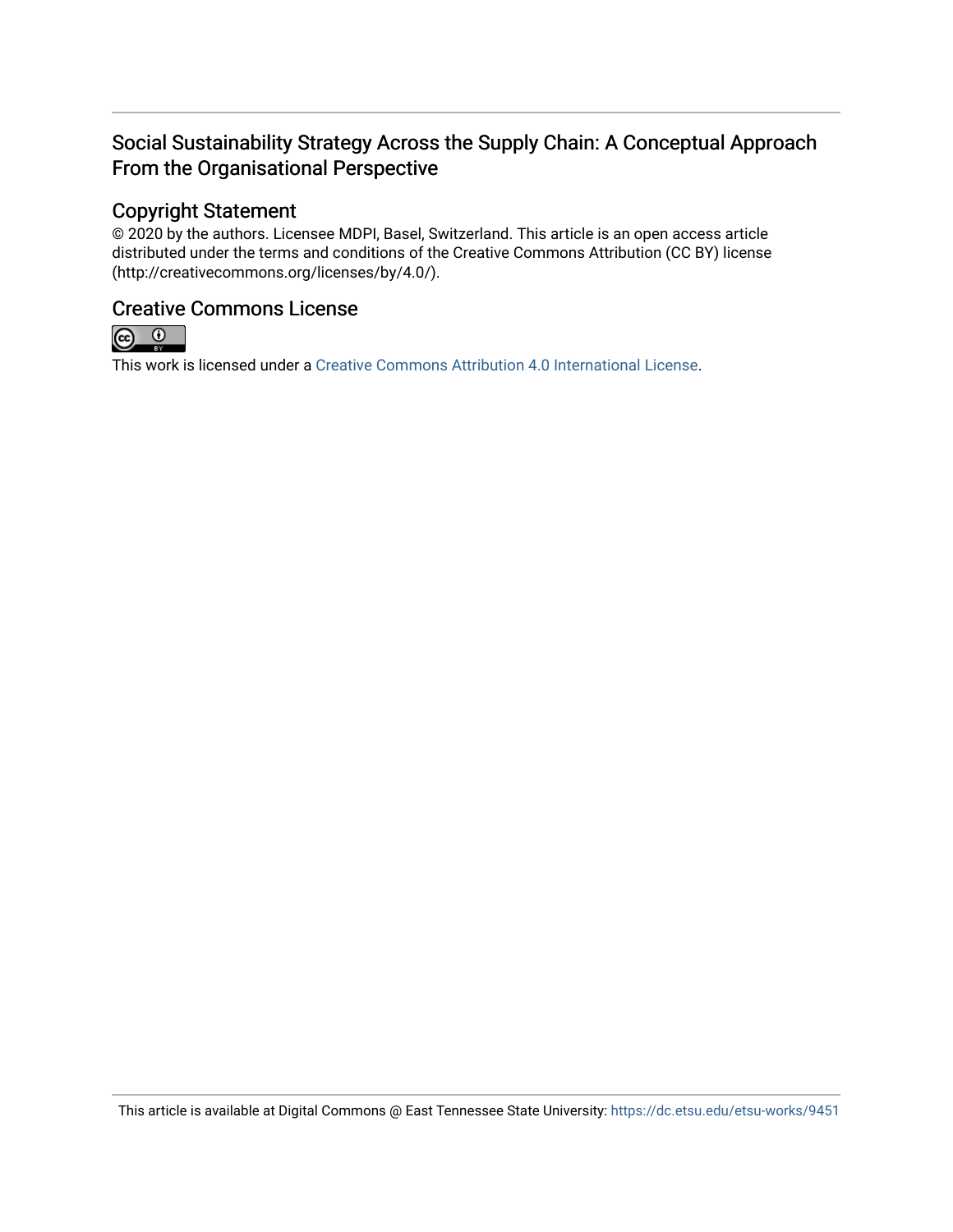# Social Sustainability Strategy Across the Supply Chain: A Conceptual Approach From the Organisational Perspective

# Copyright Statement

© 2020 by the authors. Licensee MDPI, Basel, Switzerland. This article is an open access article distributed under the terms and conditions of the Creative Commons Attribution (CC BY) license (http://creativecommons.org/licenses/by/4.0/).

# Creative Commons License



This work is licensed under a [Creative Commons Attribution 4.0 International License.](https://creativecommons.org/licenses/by/4.0/)

This article is available at Digital Commons @ East Tennessee State University: <https://dc.etsu.edu/etsu-works/9451>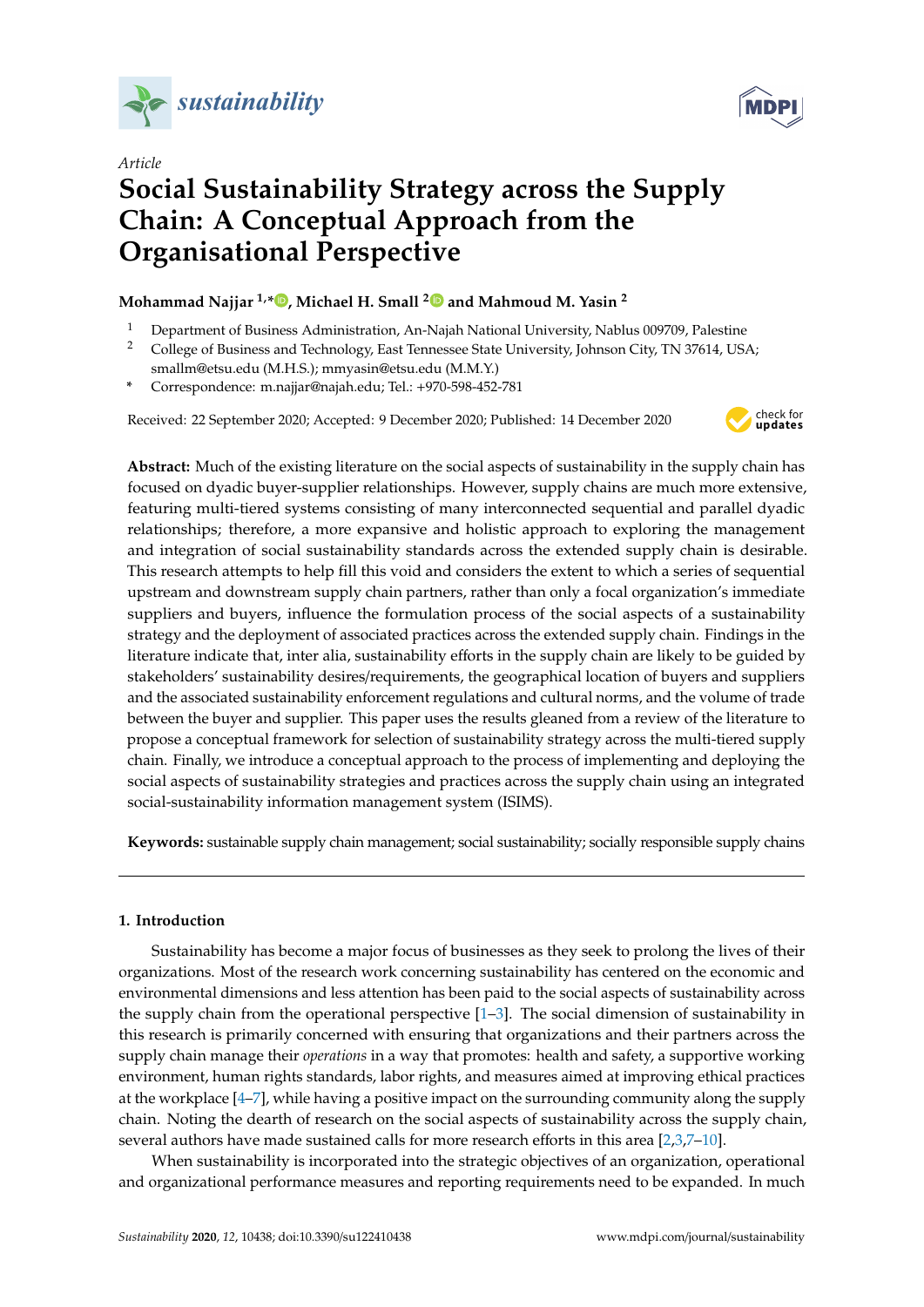

*Article*



# **Social Sustainability Strategy across the Supply Chain: A Conceptual Approach from the Organisational Perspective**

## **Mohammad Najjar 1,\* [,](https://orcid.org/0000-0002-4654-0761) Michael H. Small [2](https://orcid.org/0000-0003-3316-7774) and Mahmoud M. Yasin <sup>2</sup>**

<sup>1</sup> Department of Business Administration, An-Najah National University, Nablus 009709, Palestine

- <sup>2</sup> College of Business and Technology, East Tennessee State University, Johnson City, TN 37614, USA; smallm@etsu.edu (M.H.S.); mmyasin@etsu.edu (M.M.Y.)
- **\*** Correspondence: m.najjar@najah.edu; Tel.: +970-598-452-781

Received: 22 September 2020; Accepted: 9 December 2020; Published: 14 December 2020



**Abstract:** Much of the existing literature on the social aspects of sustainability in the supply chain has focused on dyadic buyer-supplier relationships. However, supply chains are much more extensive, featuring multi-tiered systems consisting of many interconnected sequential and parallel dyadic relationships; therefore, a more expansive and holistic approach to exploring the management and integration of social sustainability standards across the extended supply chain is desirable. This research attempts to help fill this void and considers the extent to which a series of sequential upstream and downstream supply chain partners, rather than only a focal organization's immediate suppliers and buyers, influence the formulation process of the social aspects of a sustainability strategy and the deployment of associated practices across the extended supply chain. Findings in the literature indicate that, inter alia, sustainability efforts in the supply chain are likely to be guided by stakeholders' sustainability desires/requirements, the geographical location of buyers and suppliers and the associated sustainability enforcement regulations and cultural norms, and the volume of trade between the buyer and supplier. This paper uses the results gleaned from a review of the literature to propose a conceptual framework for selection of sustainability strategy across the multi-tiered supply chain. Finally, we introduce a conceptual approach to the process of implementing and deploying the social aspects of sustainability strategies and practices across the supply chain using an integrated social-sustainability information management system (ISIMS).

**Keywords:** sustainable supply chain management; social sustainability; socially responsible supply chains

### **1. Introduction**

Sustainability has become a major focus of businesses as they seek to prolong the lives of their organizations. Most of the research work concerning sustainability has centered on the economic and environmental dimensions and less attention has been paid to the social aspects of sustainability across the supply chain from the operational perspective  $[1-3]$  $[1-3]$ . The social dimension of sustainability in this research is primarily concerned with ensuring that organizations and their partners across the supply chain manage their *operations* in a way that promotes: health and safety, a supportive working environment, human rights standards, labor rights, and measures aimed at improving ethical practices at the workplace [\[4](#page-14-2)[–7\]](#page-14-3), while having a positive impact on the surrounding community along the supply chain. Noting the dearth of research on the social aspects of sustainability across the supply chain, several authors have made sustained calls for more research efforts in this area [\[2,](#page-14-4)[3](#page-14-1)[,7](#page-14-3)[–10\]](#page-14-5).

When sustainability is incorporated into the strategic objectives of an organization, operational and organizational performance measures and reporting requirements need to be expanded. In much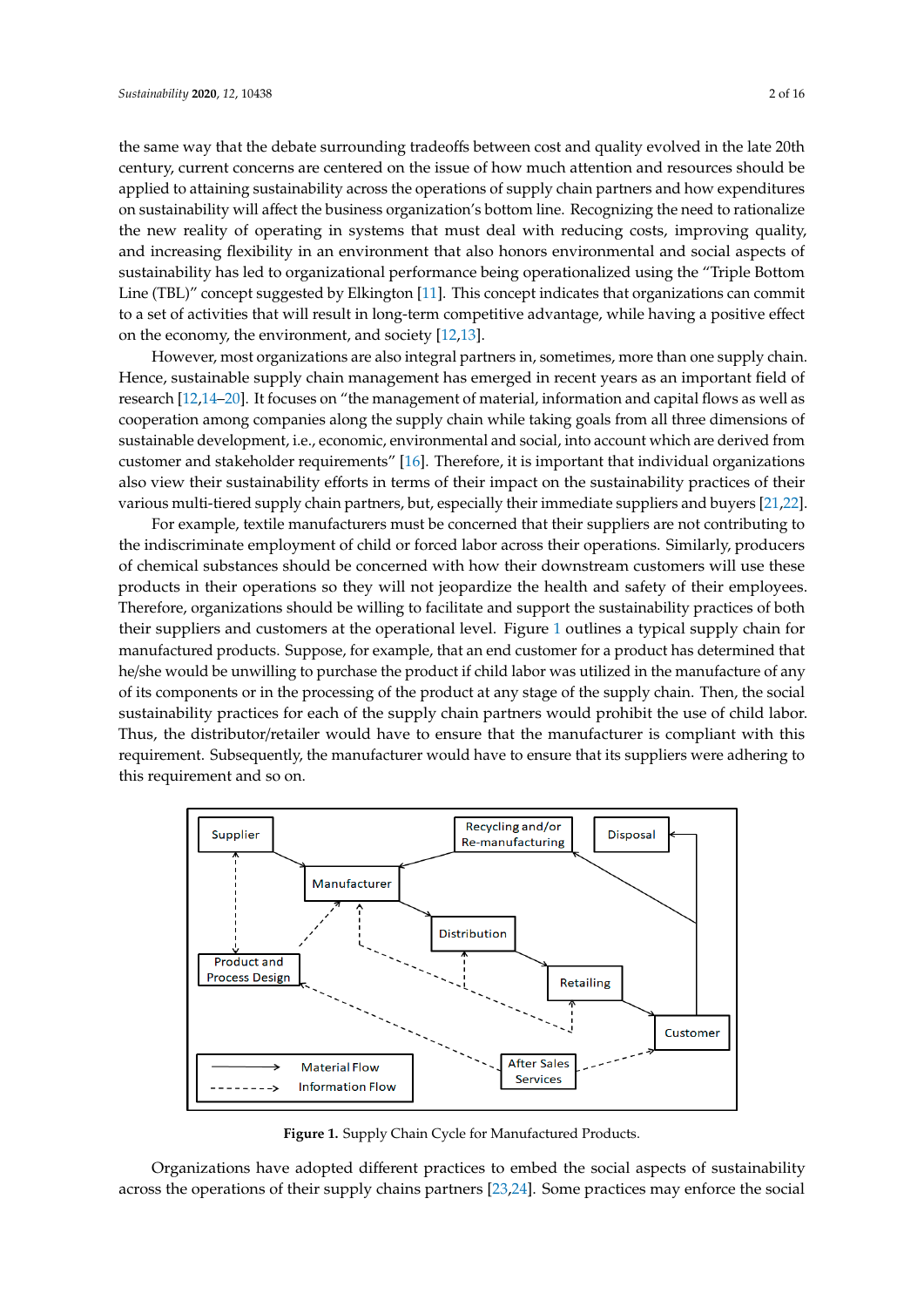the same way that the debate surrounding tradeoffs between cost and quality evolved in the late 20th century, current concerns are centered on the issue of how much attention and resources should be applied to attaining sustainability across the operations of supply chain partners and how expenditures on sustainability will affect the business organization's bottom line. Recognizing the need to rationalize the new reality of operating in systems that must deal with reducing costs, improving quality, and increasing flexibility in an environment that also honors environmental and social aspects of sustainability has led to organizational performance being operationalized using the "Triple Bottom Line (TBL) $^{\prime\prime}$  concept suggested by Elkington [\[11\]](#page-14-6). This concept indicates that organizations can commit to a set of activities that will result in long-term competitive advantage, while having a positive effect

on the economy, the environment, and society  $[12,13]$  $[12,13]$ . However, most organizations are also integral partners in, sometimes, more than one supply chain. Hence, sustainable supply chain management has emerged in recent years as an important field of research [\[12,](#page-14-7)[14–](#page-14-9)[20\]](#page-14-10). It focuses on "the management of material, information and capital flows as well as cooperation among companies along the supply chain while taking goals from all three dimensions of sustainable development, i.e., economic, environmental and social, into account which are derived from customer and stakeholder requirements" [\[16\]](#page-14-11). Therefore, it is important that individual organizations also view their sustainability efforts in terms of their impact on the sustainability practices of their  $\,$  various multi-tiered supply chain partners, but, especially their immediate suppliers and buyers [\[21](#page-14-12)[,22\]](#page-14-13).

For example, textile manufacturers must be concerned that their suppliers are not contributing to For example, textile manufacturers must be concerned that their suppliers are not contributing the indiscriminate employment of child or forced labor across their operations. Similarly, producers of chemical substances should be concerned with how their downstream customers will use these products in their operations so they will not jeopardize the health and safety of their employees. Therefore, organizations should be willing to facilitate and support the sustainability practices of both  $\,$ their suppliers and customers at the operati[on](#page-3-0)al level. Figure  $1$  outlines a typical supply chain for manufactured products. Suppose, for example, that an end customer for a product has determined that he/she would be unwilling to purchase the product if child labor was utilized in the manufacture of any of its components or in the processing of the product at any stage of the supply chain. Then, the social sustainability practices for each of the supply chain partners would prohibit the use of child labor. Thus, the distributor/retailer would have to ensure that the manufacturer is compliant with this requirement. Subsequently, the manufacturer would have to ensure that its suppliers were adhering to this requirement and so on.

<span id="page-3-0"></span>

Figure 1. Supply Chain Cycle for Manufactured Products.

Organizations have adopted different practices to embed the social aspects of sustainability across the operations of their supply chains partners [\[23](#page-14-14)[,24\]](#page-14-15). Some practices may enforce the social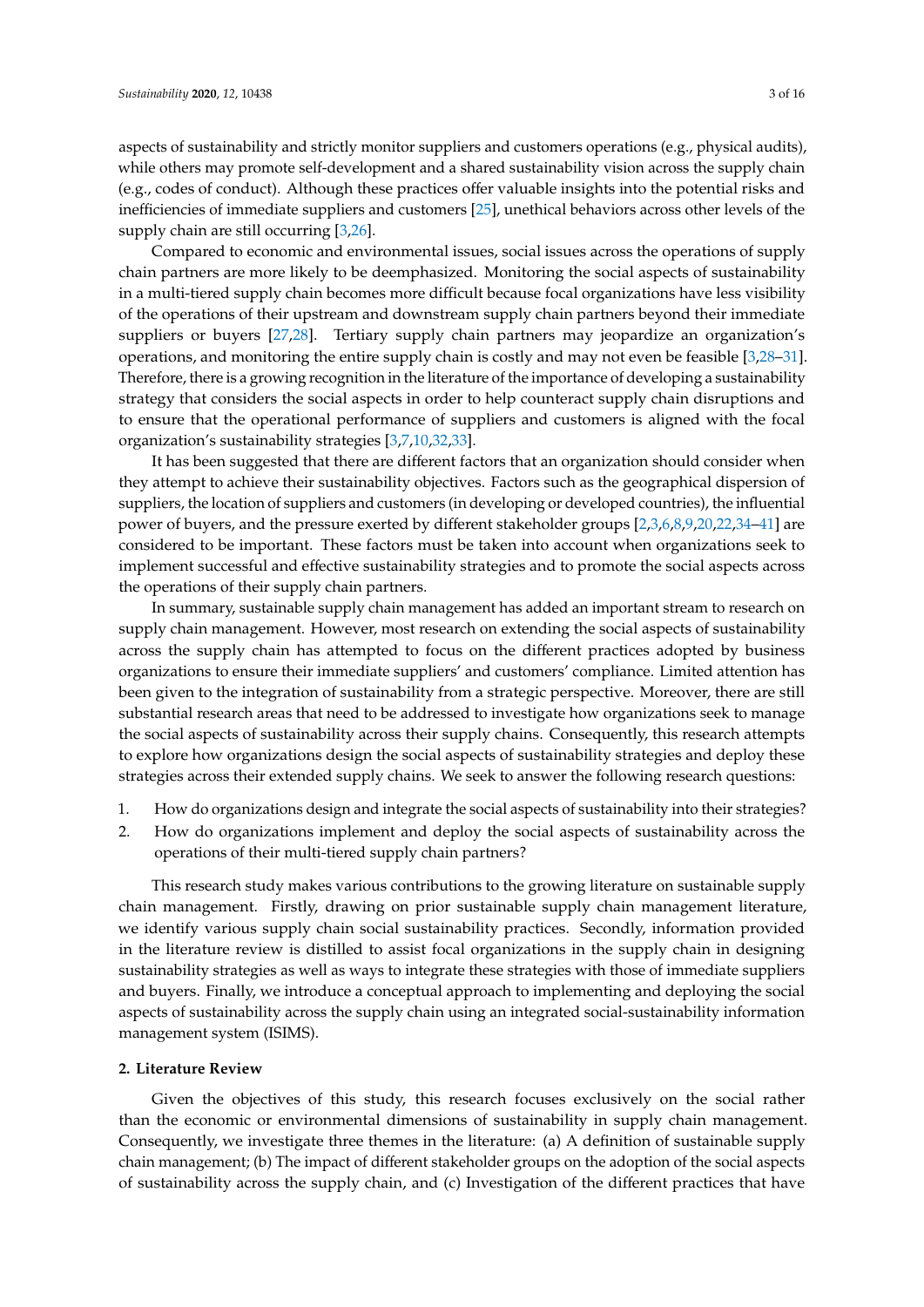aspects of sustainability and strictly monitor suppliers and customers operations (e.g., physical audits), while others may promote self-development and a shared sustainability vision across the supply chain (e.g., codes of conduct). Although these practices offer valuable insights into the potential risks and inefficiencies of immediate suppliers and customers [\[25\]](#page-15-0), unethical behaviors across other levels of the supply chain are still occurring [\[3](#page-14-1)[,26\]](#page-15-1).

Compared to economic and environmental issues, social issues across the operations of supply chain partners are more likely to be deemphasized. Monitoring the social aspects of sustainability in a multi-tiered supply chain becomes more difficult because focal organizations have less visibility of the operations of their upstream and downstream supply chain partners beyond their immediate suppliers or buyers [\[27,](#page-15-2)[28\]](#page-15-3). Tertiary supply chain partners may jeopardize an organization's operations, and monitoring the entire supply chain is costly and may not even be feasible [\[3,](#page-14-1)[28–](#page-15-3)[31\]](#page-15-4). Therefore, there is a growing recognition in the literature of the importance of developing a sustainability strategy that considers the social aspects in order to help counteract supply chain disruptions and to ensure that the operational performance of suppliers and customers is aligned with the focal organization's sustainability strategies [\[3](#page-14-1)[,7,](#page-14-3)[10,](#page-14-5)[32,](#page-15-5)[33\]](#page-15-6).

It has been suggested that there are different factors that an organization should consider when they attempt to achieve their sustainability objectives. Factors such as the geographical dispersion of suppliers, the location of suppliers and customers (in developing or developed countries), the influential power of buyers, and the pressure exerted by different stakeholder groups [\[2](#page-14-4)[,3](#page-14-1)[,6](#page-14-16)[,8](#page-14-17)[,9](#page-14-18)[,20](#page-14-10)[,22](#page-14-13)[,34](#page-15-7)[–41\]](#page-15-8) are considered to be important. These factors must be taken into account when organizations seek to implement successful and effective sustainability strategies and to promote the social aspects across the operations of their supply chain partners.

In summary, sustainable supply chain management has added an important stream to research on supply chain management. However, most research on extending the social aspects of sustainability across the supply chain has attempted to focus on the different practices adopted by business organizations to ensure their immediate suppliers' and customers' compliance. Limited attention has been given to the integration of sustainability from a strategic perspective. Moreover, there are still substantial research areas that need to be addressed to investigate how organizations seek to manage the social aspects of sustainability across their supply chains. Consequently, this research attempts to explore how organizations design the social aspects of sustainability strategies and deploy these strategies across their extended supply chains. We seek to answer the following research questions:

- 1. How do organizations design and integrate the social aspects of sustainability into their strategies?
- 2. How do organizations implement and deploy the social aspects of sustainability across the operations of their multi-tiered supply chain partners?

This research study makes various contributions to the growing literature on sustainable supply chain management. Firstly, drawing on prior sustainable supply chain management literature, we identify various supply chain social sustainability practices. Secondly, information provided in the literature review is distilled to assist focal organizations in the supply chain in designing sustainability strategies as well as ways to integrate these strategies with those of immediate suppliers and buyers. Finally, we introduce a conceptual approach to implementing and deploying the social aspects of sustainability across the supply chain using an integrated social-sustainability information management system (ISIMS).

#### **2. Literature Review**

Given the objectives of this study, this research focuses exclusively on the social rather than the economic or environmental dimensions of sustainability in supply chain management. Consequently, we investigate three themes in the literature: (a) A definition of sustainable supply chain management; (b) The impact of different stakeholder groups on the adoption of the social aspects of sustainability across the supply chain, and (c) Investigation of the different practices that have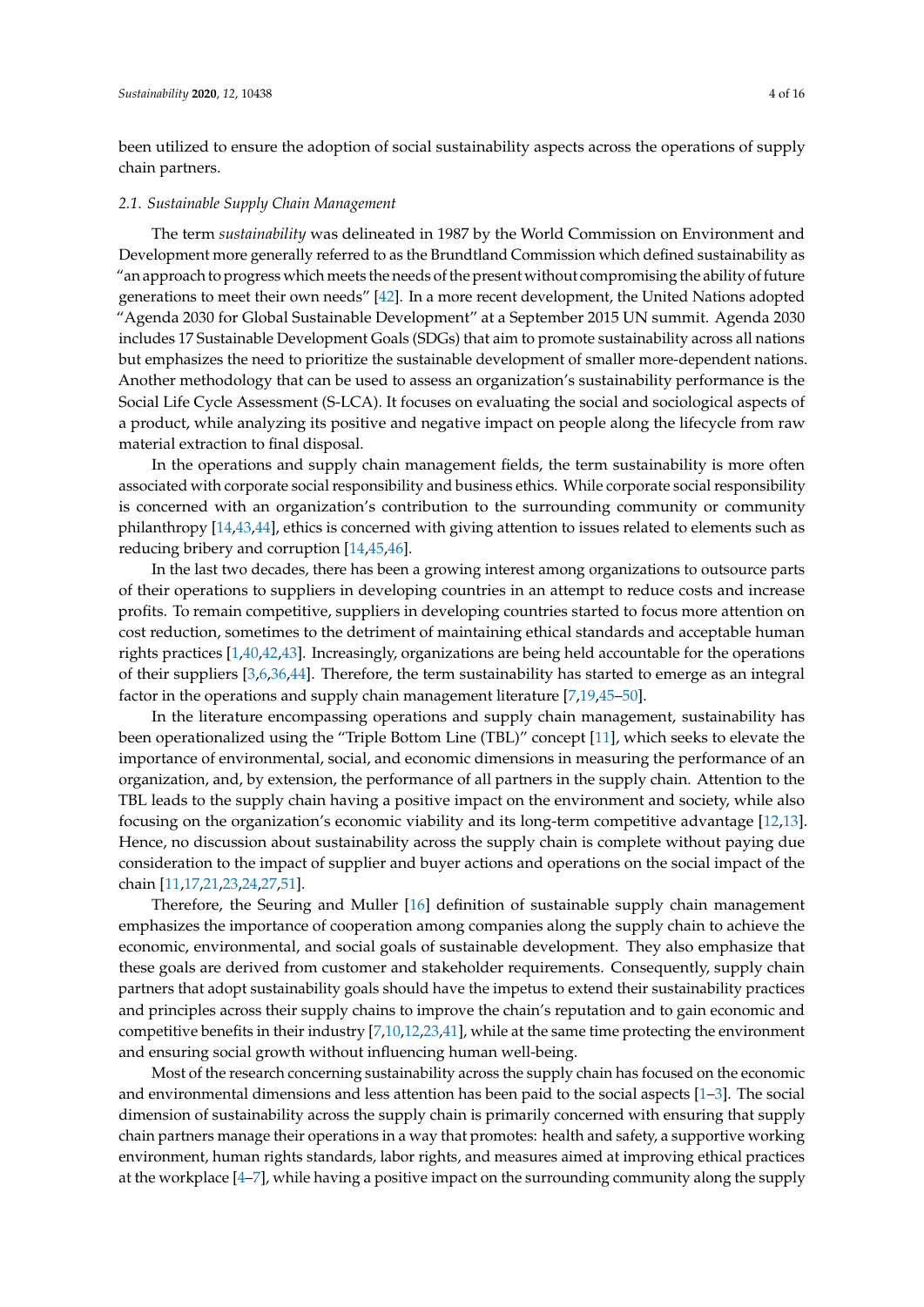been utilized to ensure the adoption of social sustainability aspects across the operations of supply chain partners.

#### *2.1. Sustainable Supply Chain Management*

The term *sustainability* was delineated in 1987 by the World Commission on Environment and Development more generally referred to as the Brundtland Commission which defined sustainability as "an approach to progress which meets the needs of the present without compromising the ability of future generations to meet their own needs" [\[42\]](#page-15-9). In a more recent development, the United Nations adopted "Agenda 2030 for Global Sustainable Development" at a September 2015 UN summit. Agenda 2030 includes 17 Sustainable Development Goals (SDGs) that aim to promote sustainability across all nations but emphasizes the need to prioritize the sustainable development of smaller more-dependent nations. Another methodology that can be used to assess an organization's sustainability performance is the Social Life Cycle Assessment (S-LCA). It focuses on evaluating the social and sociological aspects of a product, while analyzing its positive and negative impact on people along the lifecycle from raw material extraction to final disposal.

In the operations and supply chain management fields, the term sustainability is more often associated with corporate social responsibility and business ethics. While corporate social responsibility is concerned with an organization's contribution to the surrounding community or community philanthropy [\[14,](#page-14-9)[43](#page-15-10)[,44\]](#page-15-11), ethics is concerned with giving attention to issues related to elements such as reducing bribery and corruption [\[14,](#page-14-9)[45,](#page-15-12)[46\]](#page-15-13).

In the last two decades, there has been a growing interest among organizations to outsource parts of their operations to suppliers in developing countries in an attempt to reduce costs and increase profits. To remain competitive, suppliers in developing countries started to focus more attention on cost reduction, sometimes to the detriment of maintaining ethical standards and acceptable human rights practices [\[1,](#page-14-0)[40,](#page-15-14)[42,](#page-15-9)[43\]](#page-15-10). Increasingly, organizations are being held accountable for the operations of their suppliers [\[3,](#page-14-1)[6,](#page-14-16)[36,](#page-15-15)[44\]](#page-15-11). Therefore, the term sustainability has started to emerge as an integral factor in the operations and supply chain management literature [\[7](#page-14-3)[,19,](#page-14-19)[45](#page-15-12)[–50\]](#page-16-0).

In the literature encompassing operations and supply chain management, sustainability has been operationalized using the "Triple Bottom Line (TBL)" concept [\[11\]](#page-14-6), which seeks to elevate the importance of environmental, social, and economic dimensions in measuring the performance of an organization, and, by extension, the performance of all partners in the supply chain. Attention to the TBL leads to the supply chain having a positive impact on the environment and society, while also focusing on the organization's economic viability and its long-term competitive advantage [\[12,](#page-14-7)[13\]](#page-14-8). Hence, no discussion about sustainability across the supply chain is complete without paying due consideration to the impact of supplier and buyer actions and operations on the social impact of the chain [\[11,](#page-14-6)[17,](#page-14-20)[21,](#page-14-12)[23,](#page-14-14)[24,](#page-14-15)[27](#page-15-2)[,51\]](#page-16-1).

Therefore, the Seuring and Muller [\[16\]](#page-14-11) definition of sustainable supply chain management emphasizes the importance of cooperation among companies along the supply chain to achieve the economic, environmental, and social goals of sustainable development. They also emphasize that these goals are derived from customer and stakeholder requirements. Consequently, supply chain partners that adopt sustainability goals should have the impetus to extend their sustainability practices and principles across their supply chains to improve the chain's reputation and to gain economic and competitive benefits in their industry [\[7,](#page-14-3)[10,](#page-14-5)[12,](#page-14-7)[23](#page-14-14)[,41\]](#page-15-8), while at the same time protecting the environment and ensuring social growth without influencing human well-being.

Most of the research concerning sustainability across the supply chain has focused on the economic and environmental dimensions and less attention has been paid to the social aspects [\[1–](#page-14-0)[3\]](#page-14-1). The social dimension of sustainability across the supply chain is primarily concerned with ensuring that supply chain partners manage their operations in a way that promotes: health and safety, a supportive working environment, human rights standards, labor rights, and measures aimed at improving ethical practices at the workplace [\[4](#page-14-2)[–7\]](#page-14-3), while having a positive impact on the surrounding community along the supply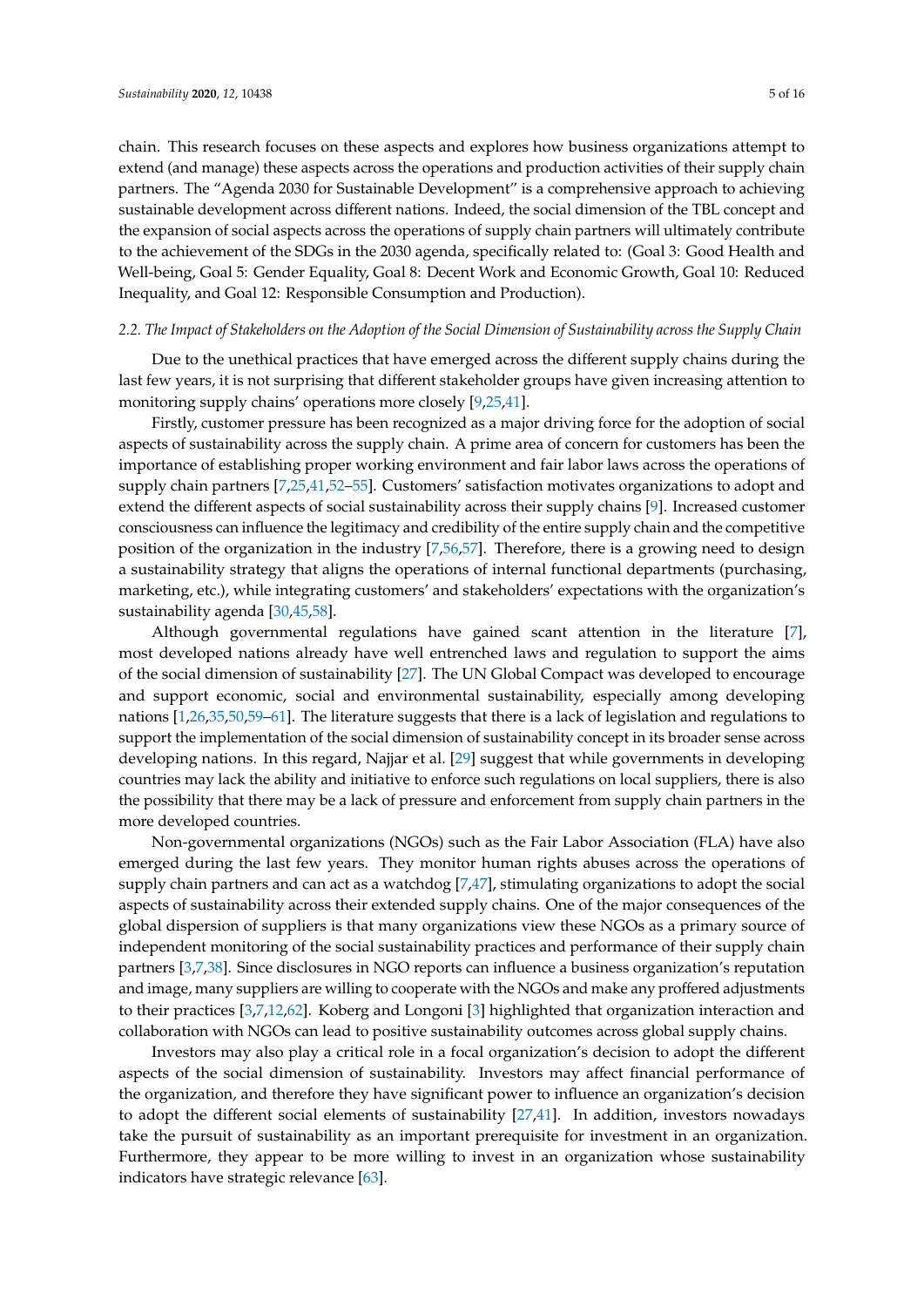chain. This research focuses on these aspects and explores how business organizations attempt to extend (and manage) these aspects across the operations and production activities of their supply chain partners. The "Agenda 2030 for Sustainable Development" is a comprehensive approach to achieving sustainable development across different nations. Indeed, the social dimension of the TBL concept and the expansion of social aspects across the operations of supply chain partners will ultimately contribute to the achievement of the SDGs in the 2030 agenda, specifically related to: (Goal 3: Good Health and Well-being, Goal 5: Gender Equality, Goal 8: Decent Work and Economic Growth, Goal 10: Reduced Inequality, and Goal 12: Responsible Consumption and Production).

#### *2.2. The Impact of Stakeholders on the Adoption of the Social Dimension of Sustainability across the Supply Chain*

Due to the unethical practices that have emerged across the different supply chains during the last few years, it is not surprising that different stakeholder groups have given increasing attention to monitoring supply chains' operations more closely [\[9](#page-14-18)[,25,](#page-15-0)[41\]](#page-15-8).

Firstly, customer pressure has been recognized as a major driving force for the adoption of social aspects of sustainability across the supply chain. A prime area of concern for customers has been the importance of establishing proper working environment and fair labor laws across the operations of supply chain partners [\[7,](#page-14-3)[25,](#page-15-0)[41,](#page-15-8)[52](#page-16-2)[–55\]](#page-16-3). Customers' satisfaction motivates organizations to adopt and extend the different aspects of social sustainability across their supply chains [\[9\]](#page-14-18). Increased customer consciousness can influence the legitimacy and credibility of the entire supply chain and the competitive position of the organization in the industry [\[7](#page-14-3)[,56](#page-16-4)[,57\]](#page-16-5). Therefore, there is a growing need to design a sustainability strategy that aligns the operations of internal functional departments (purchasing, marketing, etc.), while integrating customers' and stakeholders' expectations with the organization's sustainability agenda [\[30](#page-15-16)[,45](#page-15-12)[,58\]](#page-16-6).

Although governmental regulations have gained scant attention in the literature [\[7\]](#page-14-3), most developed nations already have well entrenched laws and regulation to support the aims of the social dimension of sustainability [\[27\]](#page-15-2). The UN Global Compact was developed to encourage and support economic, social and environmental sustainability, especially among developing nations [\[1](#page-14-0)[,26](#page-15-1)[,35,](#page-15-17)[50,](#page-16-0)[59–](#page-16-7)[61\]](#page-16-8). The literature suggests that there is a lack of legislation and regulations to support the implementation of the social dimension of sustainability concept in its broader sense across developing nations. In this regard, Najjar et al. [\[29\]](#page-15-18) suggest that while governments in developing countries may lack the ability and initiative to enforce such regulations on local suppliers, there is also the possibility that there may be a lack of pressure and enforcement from supply chain partners in the more developed countries.

Non-governmental organizations (NGOs) such as the Fair Labor Association (FLA) have also emerged during the last few years. They monitor human rights abuses across the operations of supply chain partners and can act as a watchdog [\[7,](#page-14-3)[47\]](#page-15-19), stimulating organizations to adopt the social aspects of sustainability across their extended supply chains. One of the major consequences of the global dispersion of suppliers is that many organizations view these NGOs as a primary source of independent monitoring of the social sustainability practices and performance of their supply chain partners [\[3,](#page-14-1)[7,](#page-14-3)[38\]](#page-15-20). Since disclosures in NGO reports can influence a business organization's reputation and image, many suppliers are willing to cooperate with the NGOs and make any proffered adjustments to their practices [\[3,](#page-14-1)[7,](#page-14-3)[12,](#page-14-7)[62\]](#page-16-9). Koberg and Longoni [\[3\]](#page-14-1) highlighted that organization interaction and collaboration with NGOs can lead to positive sustainability outcomes across global supply chains.

Investors may also play a critical role in a focal organization's decision to adopt the different aspects of the social dimension of sustainability. Investors may affect financial performance of the organization, and therefore they have significant power to influence an organization's decision to adopt the different social elements of sustainability [\[27](#page-15-2)[,41\]](#page-15-8). In addition, investors nowadays take the pursuit of sustainability as an important prerequisite for investment in an organization. Furthermore, they appear to be more willing to invest in an organization whose sustainability indicators have strategic relevance [\[63\]](#page-16-10).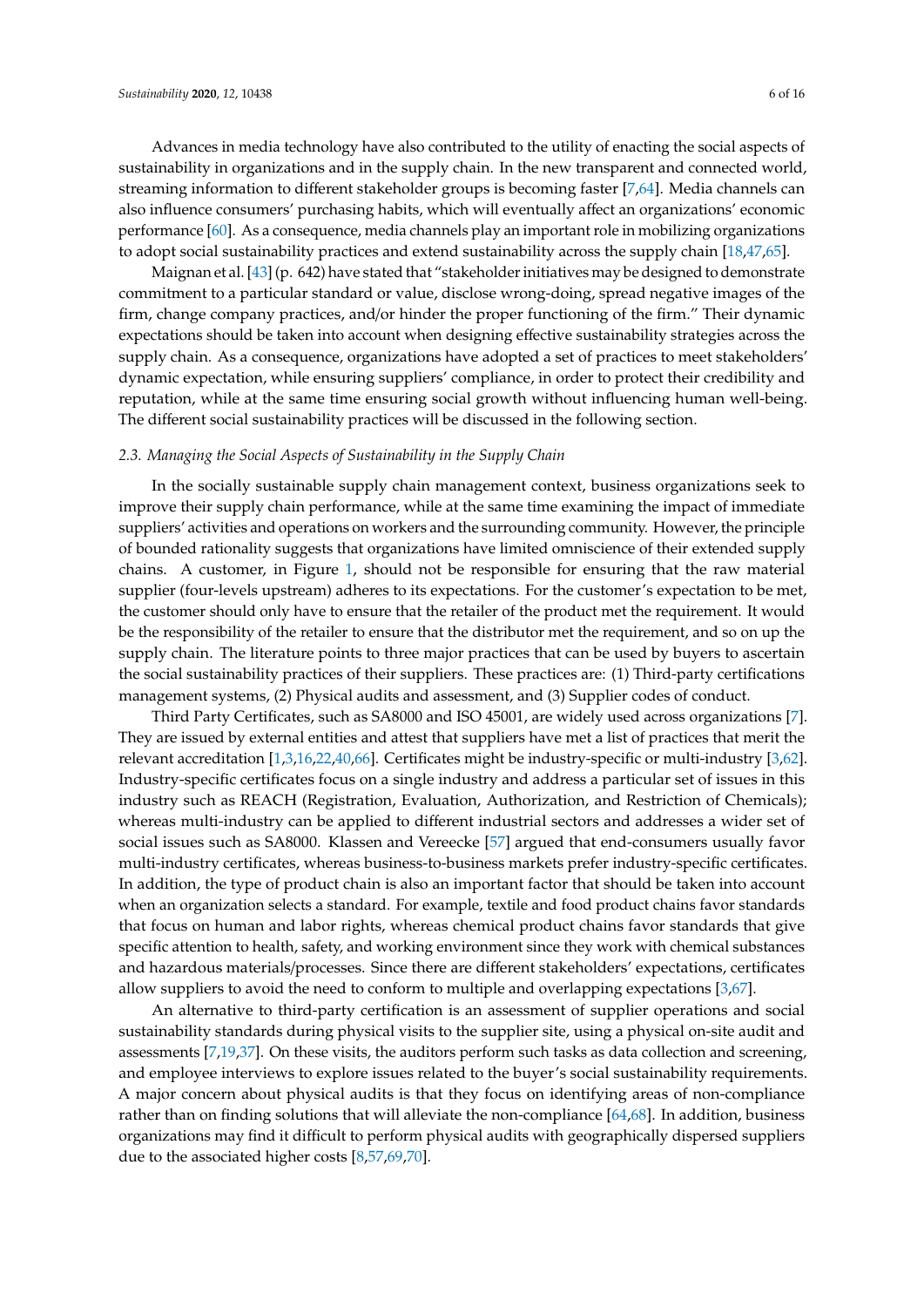Advances in media technology have also contributed to the utility of enacting the social aspects of sustainability in organizations and in the supply chain. In the new transparent and connected world, streaming information to different stakeholder groups is becoming faster [\[7](#page-14-3)[,64\]](#page-16-11). Media channels can also influence consumers' purchasing habits, which will eventually affect an organizations' economic performance [\[60\]](#page-16-12). As a consequence, media channels play an important role in mobilizing organizations to adopt social sustainability practices and extend sustainability across the supply chain [\[18,](#page-14-21)[47,](#page-15-19)[65\]](#page-16-13).

Maignan et al. [\[43\]](#page-15-10) (p. 642) have stated that "stakeholder initiatives may be designed to demonstrate commitment to a particular standard or value, disclose wrong-doing, spread negative images of the firm, change company practices, and/or hinder the proper functioning of the firm." Their dynamic expectations should be taken into account when designing effective sustainability strategies across the supply chain. As a consequence, organizations have adopted a set of practices to meet stakeholders' dynamic expectation, while ensuring suppliers' compliance, in order to protect their credibility and reputation, while at the same time ensuring social growth without influencing human well-being. The different social sustainability practices will be discussed in the following section.

#### *2.3. Managing the Social Aspects of Sustainability in the Supply Chain*

In the socially sustainable supply chain management context, business organizations seek to improve their supply chain performance, while at the same time examining the impact of immediate suppliers' activities and operations on workers and the surrounding community. However, the principle of bounded rationality suggests that organizations have limited omniscience of their extended supply chains. A customer, in Figure [1,](#page-3-0) should not be responsible for ensuring that the raw material supplier (four-levels upstream) adheres to its expectations. For the customer's expectation to be met, the customer should only have to ensure that the retailer of the product met the requirement. It would be the responsibility of the retailer to ensure that the distributor met the requirement, and so on up the supply chain. The literature points to three major practices that can be used by buyers to ascertain the social sustainability practices of their suppliers. These practices are: (1) Third-party certifications management systems, (2) Physical audits and assessment, and (3) Supplier codes of conduct.

Third Party Certificates, such as SA8000 and ISO 45001, are widely used across organizations [\[7\]](#page-14-3). They are issued by external entities and attest that suppliers have met a list of practices that merit the relevant accreditation [\[1](#page-14-0)[,3](#page-14-1)[,16](#page-14-11)[,22,](#page-14-13)[40,](#page-15-14)[66\]](#page-16-14). Certificates might be industry-specific or multi-industry [\[3](#page-14-1)[,62\]](#page-16-9). Industry-specific certificates focus on a single industry and address a particular set of issues in this industry such as REACH (Registration, Evaluation, Authorization, and Restriction of Chemicals); whereas multi-industry can be applied to different industrial sectors and addresses a wider set of social issues such as SA8000. Klassen and Vereecke [\[57\]](#page-16-5) argued that end-consumers usually favor multi-industry certificates, whereas business-to-business markets prefer industry-specific certificates. In addition, the type of product chain is also an important factor that should be taken into account when an organization selects a standard. For example, textile and food product chains favor standards that focus on human and labor rights, whereas chemical product chains favor standards that give specific attention to health, safety, and working environment since they work with chemical substances and hazardous materials/processes. Since there are different stakeholders' expectations, certificates allow suppliers to avoid the need to conform to multiple and overlapping expectations [\[3](#page-14-1)[,67\]](#page-16-15).

An alternative to third-party certification is an assessment of supplier operations and social sustainability standards during physical visits to the supplier site, using a physical on-site audit and assessments [\[7,](#page-14-3)[19](#page-14-19)[,37\]](#page-15-21). On these visits, the auditors perform such tasks as data collection and screening, and employee interviews to explore issues related to the buyer's social sustainability requirements. A major concern about physical audits is that they focus on identifying areas of non-compliance rather than on finding solutions that will alleviate the non-compliance [\[64,](#page-16-11)[68\]](#page-16-16). In addition, business organizations may find it difficult to perform physical audits with geographically dispersed suppliers due to the associated higher costs [\[8,](#page-14-17)[57,](#page-16-5)[69,](#page-16-17)[70\]](#page-16-18).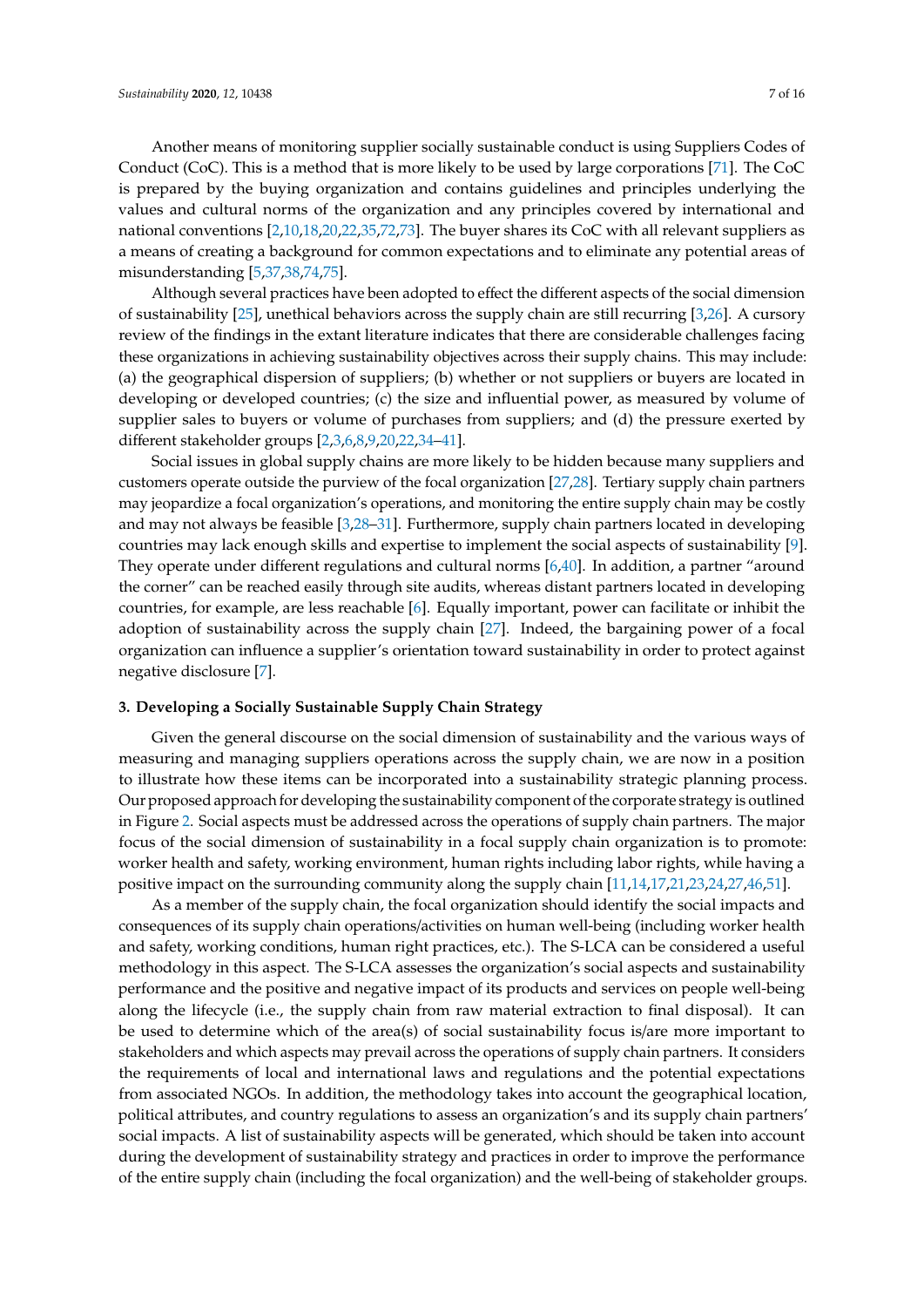Another means of monitoring supplier socially sustainable conduct is using Suppliers Codes of Conduct (CoC). This is a method that is more likely to be used by large corporations [\[71\]](#page-16-19). The CoC is prepared by the buying organization and contains guidelines and principles underlying the values and cultural norms of the organization and any principles covered by international and national conventions [\[2](#page-14-4)[,10,](#page-14-5)[18,](#page-14-21)[20,](#page-14-10)[22,](#page-14-13)[35,](#page-15-17)[72,](#page-16-20)[73\]](#page-16-21). The buyer shares its CoC with all relevant suppliers as a means of creating a background for common expectations and to eliminate any potential areas of misunderstanding [\[5](#page-14-22)[,37](#page-15-21)[,38](#page-15-20)[,74](#page-17-0)[,75\]](#page-17-1).

Although several practices have been adopted to effect the different aspects of the social dimension of sustainability [\[25\]](#page-15-0), unethical behaviors across the supply chain are still recurring [\[3](#page-14-1)[,26\]](#page-15-1). A cursory review of the findings in the extant literature indicates that there are considerable challenges facing these organizations in achieving sustainability objectives across their supply chains. This may include: (a) the geographical dispersion of suppliers; (b) whether or not suppliers or buyers are located in developing or developed countries; (c) the size and influential power, as measured by volume of supplier sales to buyers or volume of purchases from suppliers; and (d) the pressure exerted by different stakeholder groups [\[2](#page-14-4)[,3](#page-14-1)[,6](#page-14-16)[,8](#page-14-17)[,9,](#page-14-18)[20,](#page-14-10)[22,](#page-14-13)[34–](#page-15-7)[41\]](#page-15-8).

Social issues in global supply chains are more likely to be hidden because many suppliers and customers operate outside the purview of the focal organization [\[27](#page-15-2)[,28\]](#page-15-3). Tertiary supply chain partners may jeopardize a focal organization's operations, and monitoring the entire supply chain may be costly and may not always be feasible [\[3,](#page-14-1)[28](#page-15-3)[–31\]](#page-15-4). Furthermore, supply chain partners located in developing countries may lack enough skills and expertise to implement the social aspects of sustainability [\[9\]](#page-14-18). They operate under different regulations and cultural norms [\[6](#page-14-16)[,40\]](#page-15-14). In addition, a partner "around the corner" can be reached easily through site audits, whereas distant partners located in developing countries, for example, are less reachable [\[6\]](#page-14-16). Equally important, power can facilitate or inhibit the adoption of sustainability across the supply chain [\[27\]](#page-15-2). Indeed, the bargaining power of a focal organization can influence a supplier's orientation toward sustainability in order to protect against negative disclosure [\[7\]](#page-14-3).

#### **3. Developing a Socially Sustainable Supply Chain Strategy**

Given the general discourse on the social dimension of sustainability and the various ways of measuring and managing suppliers operations across the supply chain, we are now in a position to illustrate how these items can be incorporated into a sustainability strategic planning process. Our proposed approach for developing the sustainability component of the corporate strategy is outlined in Figure [2.](#page-9-0) Social aspects must be addressed across the operations of supply chain partners. The major focus of the social dimension of sustainability in a focal supply chain organization is to promote: worker health and safety, working environment, human rights including labor rights, while having a positive impact on the surrounding community along the supply chain [\[11](#page-14-6)[,14](#page-14-9)[,17](#page-14-20)[,21,](#page-14-12)[23,](#page-14-14)[24,](#page-14-15)[27,](#page-15-2)[46,](#page-15-13)[51\]](#page-16-1).

As a member of the supply chain, the focal organization should identify the social impacts and consequences of its supply chain operations/activities on human well-being (including worker health and safety, working conditions, human right practices, etc.). The S-LCA can be considered a useful methodology in this aspect. The S-LCA assesses the organization's social aspects and sustainability performance and the positive and negative impact of its products and services on people well-being along the lifecycle (i.e., the supply chain from raw material extraction to final disposal). It can be used to determine which of the area(s) of social sustainability focus is/are more important to stakeholders and which aspects may prevail across the operations of supply chain partners. It considers the requirements of local and international laws and regulations and the potential expectations from associated NGOs. In addition, the methodology takes into account the geographical location, political attributes, and country regulations to assess an organization's and its supply chain partners' social impacts. A list of sustainability aspects will be generated, which should be taken into account during the development of sustainability strategy and practices in order to improve the performance of the entire supply chain (including the focal organization) and the well-being of stakeholder groups.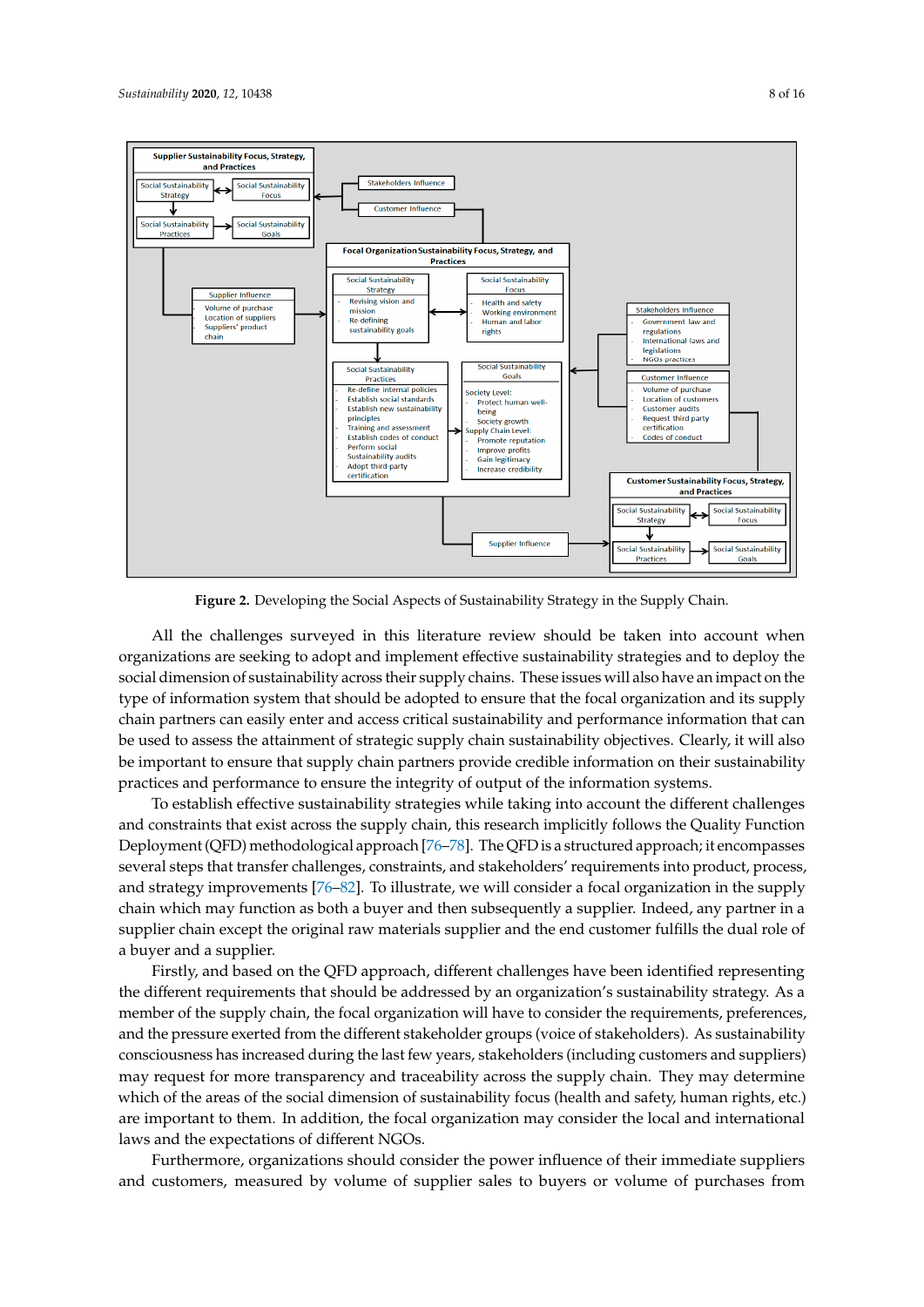<span id="page-9-0"></span>

**Figure 2.** Developing the Social Aspects of Sustainability Strategy in the Supply Chain. **Figure 2.** Developing the Social Aspects of Sustainability Strategy in the Supply Chain.

All the challenges surveyed in this literature review should be taken into account when organizations are seeking to adopt and implement effective sustainability strategies and to deploy the social dimension of sustainability across their supply chains. These issues will also have an impact on the type of information system that should be adopted to ensure that the focal organization and its supply chain partners can easily enter and access critical sustainability and performance information that can be used to assess the attainment of strategic supply chain sustainability objectives. Clearly, it will also be important to ensure that supply chain partners provide credible information on their sustainability practices and performance to ensure the integrity of output of the information systems.

To establish effective sustainability strategies while taking into account the different challenges and constraints that exist across the supply chain, this research implicitly follows the Quality Function Deployment (QFD) methodological approach [\[76–](#page-17-2)[78\]](#page-17-3). The QFD is a structured approach; it encompasses several steps that transfer challenges, constraints, and stakeholders' requirements into product, process, and strategy improvements [\[76](#page-17-2)[–82\]](#page-17-4). To illustrate, we will consider a focal organization in the supply chain which may function as both a buyer and then subsequently a supplier. Indeed, any partner in a supplier chain except the original raw materials supplier and the end customer fulfills the dual role of a buyer and a supplier.  $\blacksquare$ 

Firstly, and based on the QFD approach, different challenges have been identified representing the different requirements that should be addressed by an organization's sustainability strategy. As a member of the supply chain, the focal organization will have to consider the requirements, preferences, and the pressure exerted from the different stakeholder groups (voice of stakeholders). As sustainability consciousness has increased during the last few years, stakeholders (including customers and suppliers) may request for more transparency and traceability across the supply chain. They may determine which of the areas of the social dimension of sustainability focus (health and safety, human rights, etc.) are important to them. In addition, the focal organization may consider the local and international laws and the expectations of different NGOs.

Furthermore, organizations should consider the power influence of their immediate suppliers and customers, measured by volume of supplier sales to buyers or volume of purchases from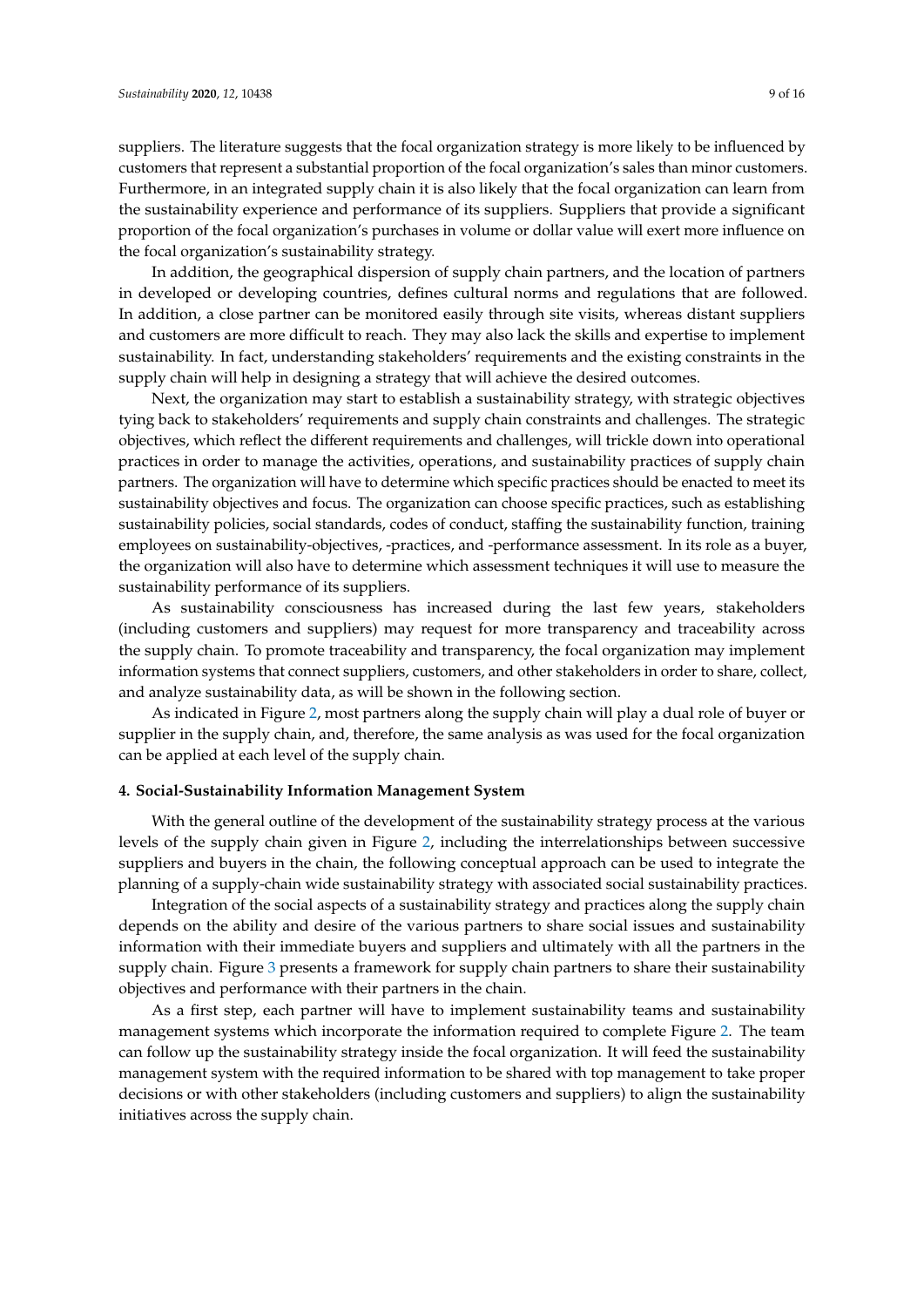suppliers. The literature suggests that the focal organization strategy is more likely to be influenced by customers that represent a substantial proportion of the focal organization's sales than minor customers. Furthermore, in an integrated supply chain it is also likely that the focal organization can learn from the sustainability experience and performance of its suppliers. Suppliers that provide a significant proportion of the focal organization's purchases in volume or dollar value will exert more influence on the focal organization's sustainability strategy.

In addition, the geographical dispersion of supply chain partners, and the location of partners in developed or developing countries, defines cultural norms and regulations that are followed. In addition, a close partner can be monitored easily through site visits, whereas distant suppliers and customers are more difficult to reach. They may also lack the skills and expertise to implement sustainability. In fact, understanding stakeholders' requirements and the existing constraints in the supply chain will help in designing a strategy that will achieve the desired outcomes.

Next, the organization may start to establish a sustainability strategy, with strategic objectives tying back to stakeholders' requirements and supply chain constraints and challenges. The strategic objectives, which reflect the different requirements and challenges, will trickle down into operational practices in order to manage the activities, operations, and sustainability practices of supply chain partners. The organization will have to determine which specific practices should be enacted to meet its sustainability objectives and focus. The organization can choose specific practices, such as establishing sustainability policies, social standards, codes of conduct, staffing the sustainability function, training employees on sustainability-objectives, -practices, and -performance assessment. In its role as a buyer, the organization will also have to determine which assessment techniques it will use to measure the sustainability performance of its suppliers.

As sustainability consciousness has increased during the last few years, stakeholders (including customers and suppliers) may request for more transparency and traceability across the supply chain. To promote traceability and transparency, the focal organization may implement information systems that connect suppliers, customers, and other stakeholders in order to share, collect, and analyze sustainability data, as will be shown in the following section.

As indicated in Figure [2,](#page-9-0) most partners along the supply chain will play a dual role of buyer or supplier in the supply chain, and, therefore, the same analysis as was used for the focal organization can be applied at each level of the supply chain.

#### **4. Social-Sustainability Information Management System**

With the general outline of the development of the sustainability strategy process at the various levels of the supply chain given in Figure [2,](#page-9-0) including the interrelationships between successive suppliers and buyers in the chain, the following conceptual approach can be used to integrate the planning of a supply-chain wide sustainability strategy with associated social sustainability practices.

Integration of the social aspects of a sustainability strategy and practices along the supply chain depends on the ability and desire of the various partners to share social issues and sustainability information with their immediate buyers and suppliers and ultimately with all the partners in the supply chain. Figure [3](#page-11-0) presents a framework for supply chain partners to share their sustainability objectives and performance with their partners in the chain.

As a first step, each partner will have to implement sustainability teams and sustainability management systems which incorporate the information required to complete Figure [2.](#page-9-0) The team can follow up the sustainability strategy inside the focal organization. It will feed the sustainability management system with the required information to be shared with top management to take proper decisions or with other stakeholders (including customers and suppliers) to align the sustainability initiatives across the supply chain.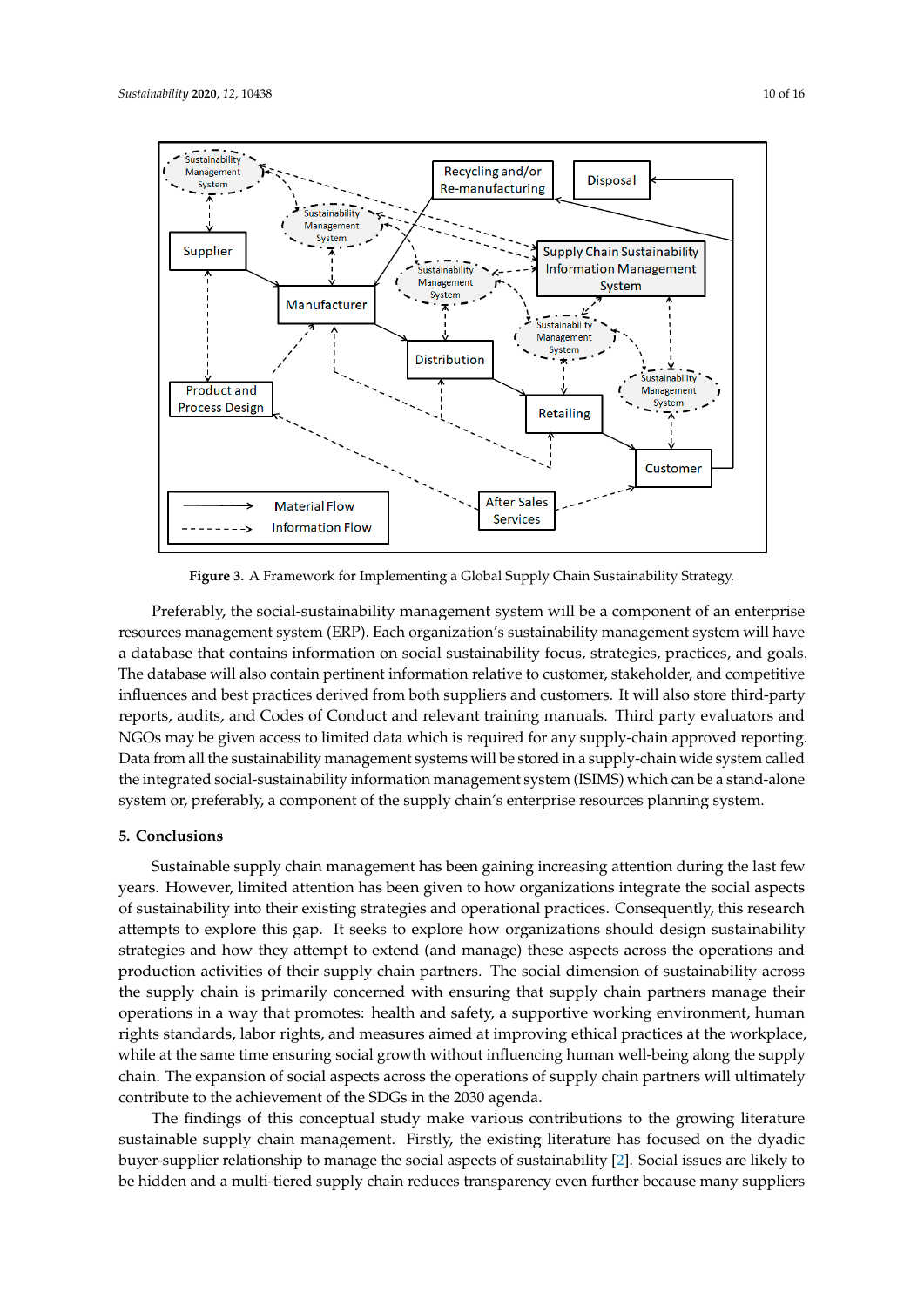<span id="page-11-0"></span>

**Figure 3.** A Framework for Implementing a Global Supply Chain Sustainability Strategy. **Figure 3.** A Framework for Implementing a Global Supply Chain Sustainability Strategy.

Preferably, the social-sustainability management system will be a component of an enterprise Sustainable supply chain management has been gaining increasing attention during the last few a database that contains information on social sustainability focus, strategies, practices, and goals. The database will also contain pertinent information relative to customer, stakeholder, and competitive The database will also contain pertinent information relative to customer, stakeholder, and competitive influences and best practices derived from both suppliers and customers. It will also store third-party influences and best practices derived from both suppliers and customers. It will also store third-party reports, audits, and Codes of Conduct and relevant training manuals. Third party evaluators and reports, strategies and how they attempt to extend (and manage) these aspects across the operations and NGOs may be given access to limited data which is required for any supply-chain approved reporting. production activities of their supply chain partners. The social dimension of sustainability across the Data from all the sustainability management systems will be stored in a supply-chain wide system called resources management system (ERP). Each organization's sustainability management system will have the integrated social-sustainability information management system (ISIMS) which can be a stand-alone system or, preferably, a component of the supply chain's enterprise resources planning system.

#### **5. Conclusions**

Sustainable supply chain management has been gaining increasing attention during the last few years. However, limited attention has been given to how organizations integrate the social aspects of sustainability into their existing strategies and operational practices. Consequently, this research attempts to explore this gap. It seeks to explore how organizations should design sustainability strategies and how they attempt to extend (and manage) these aspects across the operations and production activities of their supply chain partners. The social dimension of sustainability across the supply chain is primarily concerned with ensuring that supply chain partners manage their operations in a way that promotes: health and safety, a supportive working environment, human rights standards, labor rights, and measures aimed at improving ethical practices at the workplace, while at the same time ensuring social growth without influencing human well-being along the supply chain. The expansion of social aspects across the operations of supply chain partners will ultimately contribute to the achievement of the SDGs in the 2030 agenda.

The findings of this conceptual study make various contributions to the growing literature sustainable supply chain management. Firstly, the existing literature has focused on the dyadic buyer-supplier relationship to manage the social aspects of sustainability [\[2\]](#page-14-4). Social issues are likely to be hidden and a multi-tiered supply chain reduces transparency even further because many suppliers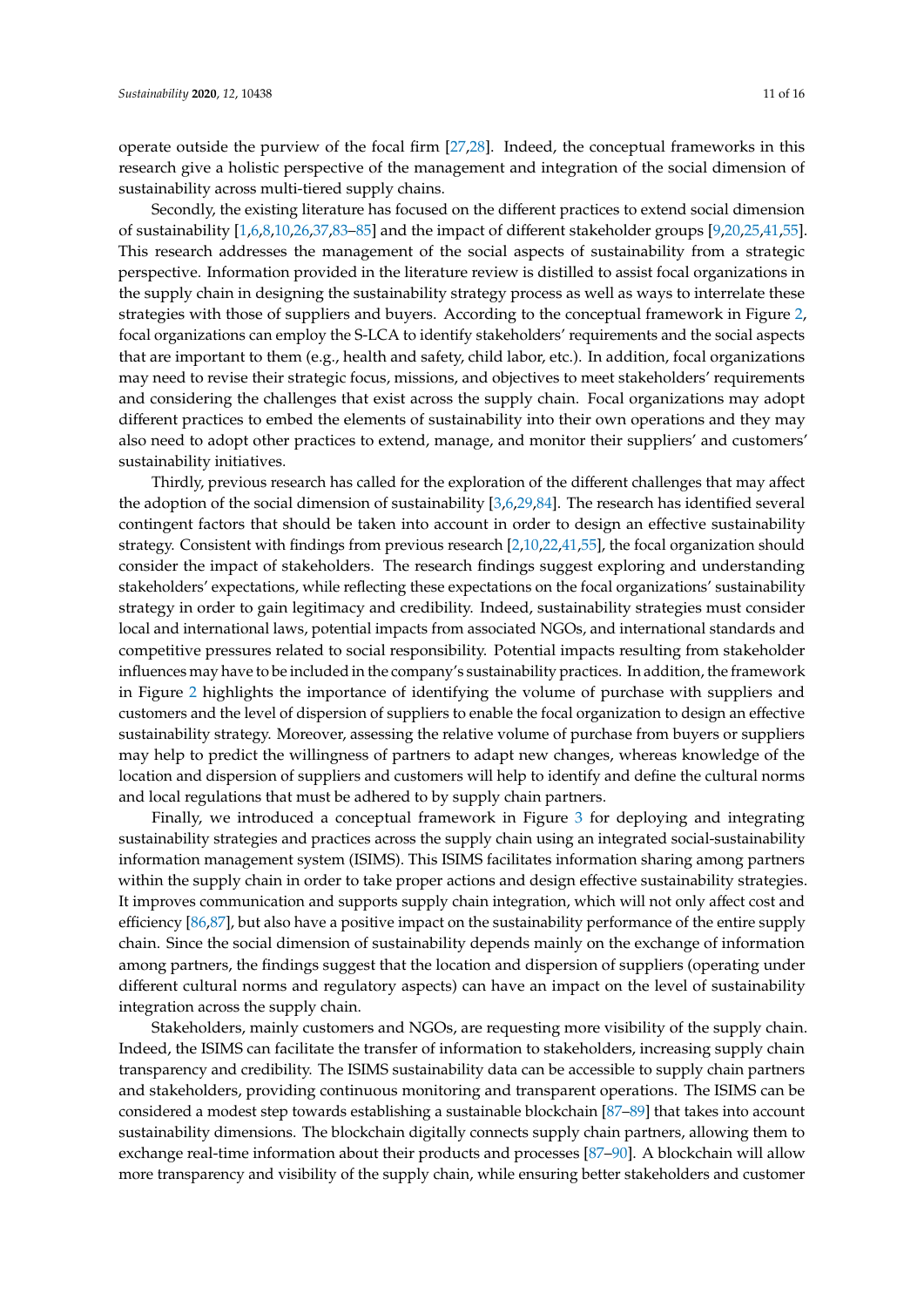operate outside the purview of the focal firm [\[27,](#page-15-2)[28\]](#page-15-3). Indeed, the conceptual frameworks in this research give a holistic perspective of the management and integration of the social dimension of sustainability across multi-tiered supply chains.

Secondly, the existing literature has focused on the different practices to extend social dimension of sustainability [\[1](#page-14-0)[,6](#page-14-16)[,8](#page-14-17)[,10](#page-14-5)[,26](#page-15-1)[,37](#page-15-21)[,83](#page-17-5)[–85\]](#page-17-6) and the impact of different stakeholder groups [\[9,](#page-14-18)[20,](#page-14-10)[25,](#page-15-0)[41,](#page-15-8)[55\]](#page-16-3). This research addresses the management of the social aspects of sustainability from a strategic perspective. Information provided in the literature review is distilled to assist focal organizations in the supply chain in designing the sustainability strategy process as well as ways to interrelate these strategies with those of suppliers and buyers. According to the conceptual framework in Figure [2,](#page-9-0) focal organizations can employ the S-LCA to identify stakeholders' requirements and the social aspects that are important to them (e.g., health and safety, child labor, etc.). In addition, focal organizations may need to revise their strategic focus, missions, and objectives to meet stakeholders' requirements and considering the challenges that exist across the supply chain. Focal organizations may adopt different practices to embed the elements of sustainability into their own operations and they may also need to adopt other practices to extend, manage, and monitor their suppliers' and customers' sustainability initiatives.

Thirdly, previous research has called for the exploration of the different challenges that may affect the adoption of the social dimension of sustainability [\[3](#page-14-1)[,6](#page-14-16)[,29](#page-15-18)[,84\]](#page-17-7). The research has identified several contingent factors that should be taken into account in order to design an effective sustainability strategy. Consistent with findings from previous research [\[2](#page-14-4)[,10](#page-14-5)[,22,](#page-14-13)[41,](#page-15-8)[55\]](#page-16-3), the focal organization should consider the impact of stakeholders. The research findings suggest exploring and understanding stakeholders' expectations, while reflecting these expectations on the focal organizations' sustainability strategy in order to gain legitimacy and credibility. Indeed, sustainability strategies must consider local and international laws, potential impacts from associated NGOs, and international standards and competitive pressures related to social responsibility. Potential impacts resulting from stakeholder influences may have to be included in the company's sustainability practices. In addition, the framework in Figure [2](#page-9-0) highlights the importance of identifying the volume of purchase with suppliers and customers and the level of dispersion of suppliers to enable the focal organization to design an effective sustainability strategy. Moreover, assessing the relative volume of purchase from buyers or suppliers may help to predict the willingness of partners to adapt new changes, whereas knowledge of the location and dispersion of suppliers and customers will help to identify and define the cultural norms and local regulations that must be adhered to by supply chain partners.

Finally, we introduced a conceptual framework in Figure [3](#page-11-0) for deploying and integrating sustainability strategies and practices across the supply chain using an integrated social-sustainability information management system (ISIMS). This ISIMS facilitates information sharing among partners within the supply chain in order to take proper actions and design effective sustainability strategies. It improves communication and supports supply chain integration, which will not only affect cost and efficiency [\[86](#page-17-8)[,87\]](#page-17-9), but also have a positive impact on the sustainability performance of the entire supply chain. Since the social dimension of sustainability depends mainly on the exchange of information among partners, the findings suggest that the location and dispersion of suppliers (operating under different cultural norms and regulatory aspects) can have an impact on the level of sustainability integration across the supply chain.

Stakeholders, mainly customers and NGOs, are requesting more visibility of the supply chain. Indeed, the ISIMS can facilitate the transfer of information to stakeholders, increasing supply chain transparency and credibility. The ISIMS sustainability data can be accessible to supply chain partners and stakeholders, providing continuous monitoring and transparent operations. The ISIMS can be considered a modest step towards establishing a sustainable blockchain [\[87–](#page-17-9)[89\]](#page-17-10) that takes into account sustainability dimensions. The blockchain digitally connects supply chain partners, allowing them to exchange real-time information about their products and processes [\[87](#page-17-9)[–90\]](#page-17-11). A blockchain will allow more transparency and visibility of the supply chain, while ensuring better stakeholders and customer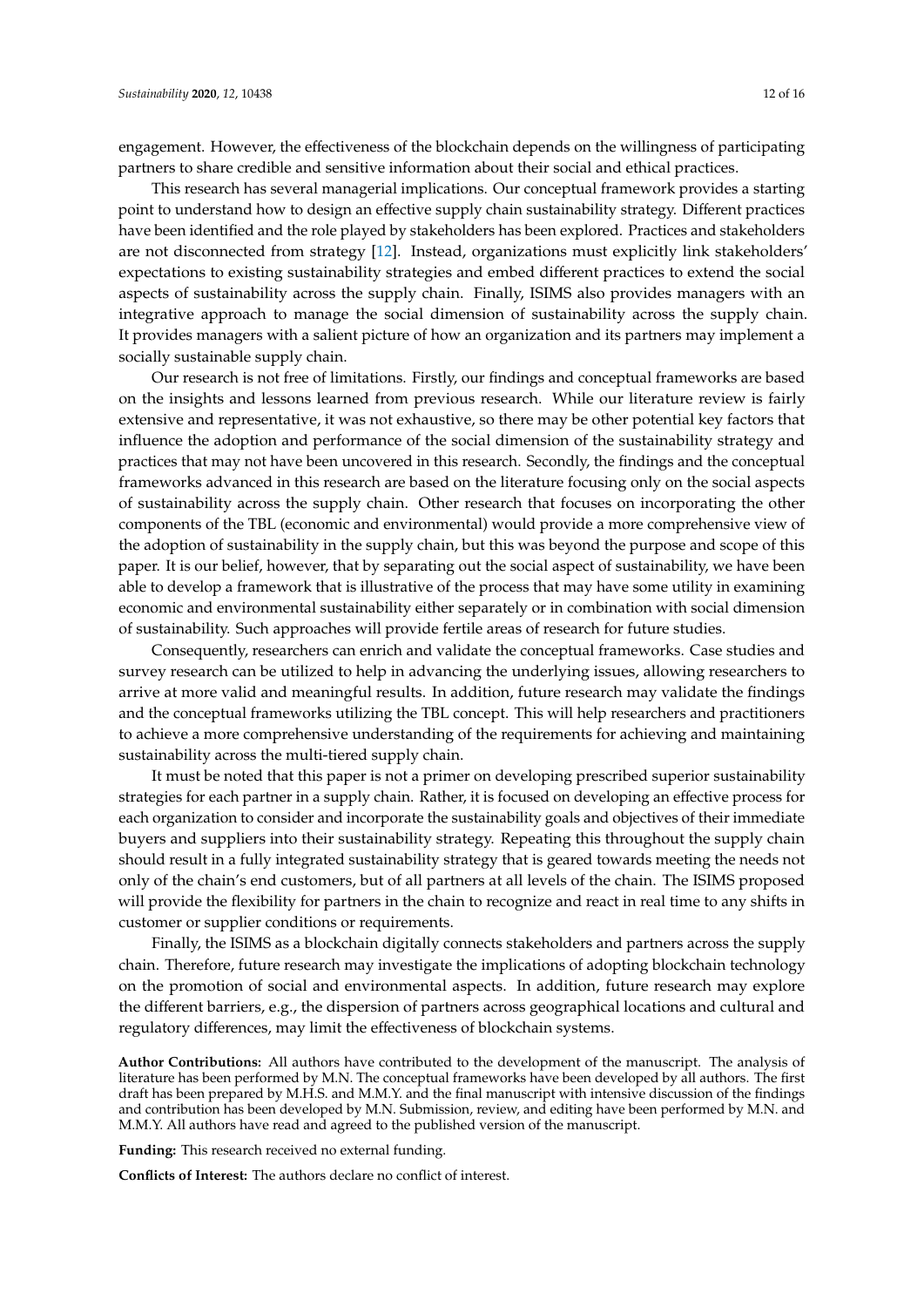engagement. However, the effectiveness of the blockchain depends on the willingness of participating partners to share credible and sensitive information about their social and ethical practices.

This research has several managerial implications. Our conceptual framework provides a starting point to understand how to design an effective supply chain sustainability strategy. Different practices have been identified and the role played by stakeholders has been explored. Practices and stakeholders are not disconnected from strategy [\[12\]](#page-14-7). Instead, organizations must explicitly link stakeholders' expectations to existing sustainability strategies and embed different practices to extend the social aspects of sustainability across the supply chain. Finally, ISIMS also provides managers with an integrative approach to manage the social dimension of sustainability across the supply chain. It provides managers with a salient picture of how an organization and its partners may implement a socially sustainable supply chain.

Our research is not free of limitations. Firstly, our findings and conceptual frameworks are based on the insights and lessons learned from previous research. While our literature review is fairly extensive and representative, it was not exhaustive, so there may be other potential key factors that influence the adoption and performance of the social dimension of the sustainability strategy and practices that may not have been uncovered in this research. Secondly, the findings and the conceptual frameworks advanced in this research are based on the literature focusing only on the social aspects of sustainability across the supply chain. Other research that focuses on incorporating the other components of the TBL (economic and environmental) would provide a more comprehensive view of the adoption of sustainability in the supply chain, but this was beyond the purpose and scope of this paper. It is our belief, however, that by separating out the social aspect of sustainability, we have been able to develop a framework that is illustrative of the process that may have some utility in examining economic and environmental sustainability either separately or in combination with social dimension of sustainability. Such approaches will provide fertile areas of research for future studies.

Consequently, researchers can enrich and validate the conceptual frameworks. Case studies and survey research can be utilized to help in advancing the underlying issues, allowing researchers to arrive at more valid and meaningful results. In addition, future research may validate the findings and the conceptual frameworks utilizing the TBL concept. This will help researchers and practitioners to achieve a more comprehensive understanding of the requirements for achieving and maintaining sustainability across the multi-tiered supply chain.

It must be noted that this paper is not a primer on developing prescribed superior sustainability strategies for each partner in a supply chain. Rather, it is focused on developing an effective process for each organization to consider and incorporate the sustainability goals and objectives of their immediate buyers and suppliers into their sustainability strategy. Repeating this throughout the supply chain should result in a fully integrated sustainability strategy that is geared towards meeting the needs not only of the chain's end customers, but of all partners at all levels of the chain. The ISIMS proposed will provide the flexibility for partners in the chain to recognize and react in real time to any shifts in customer or supplier conditions or requirements.

Finally, the ISIMS as a blockchain digitally connects stakeholders and partners across the supply chain. Therefore, future research may investigate the implications of adopting blockchain technology on the promotion of social and environmental aspects. In addition, future research may explore the different barriers, e.g., the dispersion of partners across geographical locations and cultural and regulatory differences, may limit the effectiveness of blockchain systems.

**Author Contributions:** All authors have contributed to the development of the manuscript. The analysis of literature has been performed by M.N. The conceptual frameworks have been developed by all authors. The first draft has been prepared by M.H.S. and M.M.Y. and the final manuscript with intensive discussion of the findings and contribution has been developed by M.N. Submission, review, and editing have been performed by M.N. and M.M.Y. All authors have read and agreed to the published version of the manuscript.

**Funding:** This research received no external funding.

**Conflicts of Interest:** The authors declare no conflict of interest.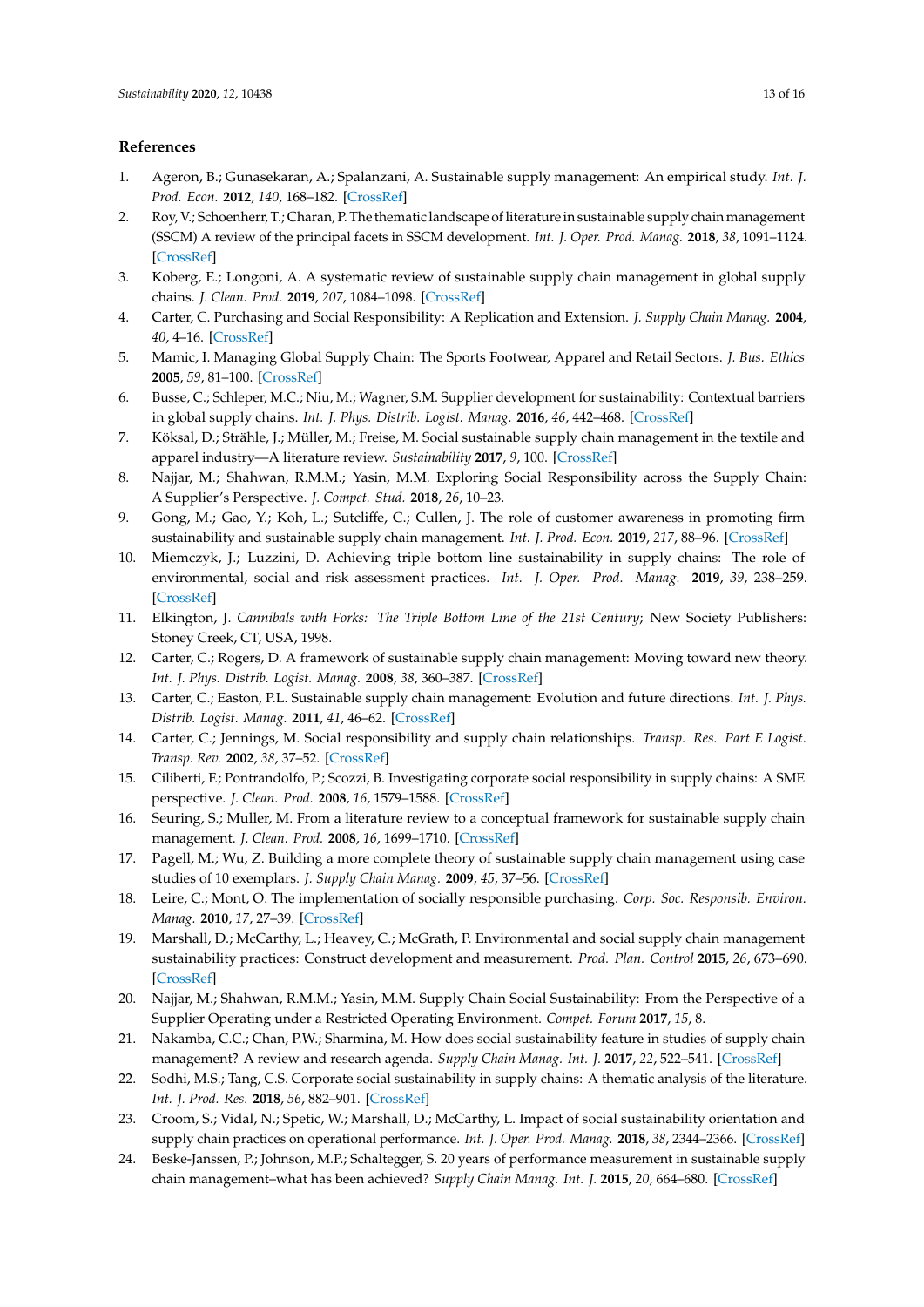### **References**

- <span id="page-14-0"></span>1. Ageron, B.; Gunasekaran, A.; Spalanzani, A. Sustainable supply management: An empirical study. *Int. J. Prod. Econ.* **2012**, *140*, 168–182. [\[CrossRef\]](http://dx.doi.org/10.1016/j.ijpe.2011.04.007)
- <span id="page-14-4"></span>2. Roy, V.; Schoenherr, T.; Charan, P. The thematic landscape of literature in sustainable supply chain management (SSCM) A review of the principal facets in SSCM development. *Int. J. Oper. Prod. Manag.* **2018**, *38*, 1091–1124. [\[CrossRef\]](http://dx.doi.org/10.1108/IJOPM-05-2017-0260)
- <span id="page-14-1"></span>3. Koberg, E.; Longoni, A. A systematic review of sustainable supply chain management in global supply chains. *J. Clean. Prod.* **2019**, *207*, 1084–1098. [\[CrossRef\]](http://dx.doi.org/10.1016/j.jclepro.2018.10.033)
- <span id="page-14-2"></span>4. Carter, C. Purchasing and Social Responsibility: A Replication and Extension. *J. Supply Chain Manag.* **2004**, *40*, 4–16. [\[CrossRef\]](http://dx.doi.org/10.1111/j.1745-493X.2004.tb00175.x)
- <span id="page-14-22"></span>5. Mamic, I. Managing Global Supply Chain: The Sports Footwear, Apparel and Retail Sectors. *J. Bus. Ethics* **2005**, *59*, 81–100. [\[CrossRef\]](http://dx.doi.org/10.1007/s10551-005-3415-y)
- <span id="page-14-16"></span>6. Busse, C.; Schleper, M.C.; Niu, M.; Wagner, S.M. Supplier development for sustainability: Contextual barriers in global supply chains. *Int. J. Phys. Distrib. Logist. Manag.* **2016**, *46*, 442–468. [\[CrossRef\]](http://dx.doi.org/10.1108/IJPDLM-12-2015-0300)
- <span id="page-14-3"></span>7. Köksal, D.; Strähle, J.; Müller, M.; Freise, M. Social sustainable supply chain management in the textile and apparel industry—A literature review. *Sustainability* **2017**, *9*, 100. [\[CrossRef\]](http://dx.doi.org/10.3390/su9010100)
- <span id="page-14-17"></span>8. Najjar, M.; Shahwan, R.M.M.; Yasin, M.M. Exploring Social Responsibility across the Supply Chain: A Supplier's Perspective. *J. Compet. Stud.* **2018**, *26*, 10–23.
- <span id="page-14-18"></span>9. Gong, M.; Gao, Y.; Koh, L.; Sutcliffe, C.; Cullen, J. The role of customer awareness in promoting firm sustainability and sustainable supply chain management. *Int. J. Prod. Econ.* **2019**, *217*, 88–96. [\[CrossRef\]](http://dx.doi.org/10.1016/j.ijpe.2019.01.033)
- <span id="page-14-5"></span>10. Miemczyk, J.; Luzzini, D. Achieving triple bottom line sustainability in supply chains: The role of environmental, social and risk assessment practices. *Int. J. Oper. Prod. Manag.* **2019**, *39*, 238–259. [\[CrossRef\]](http://dx.doi.org/10.1108/IJOPM-06-2017-0334)
- <span id="page-14-6"></span>11. Elkington, J. *Cannibals with Forks: The Triple Bottom Line of the 21st Century*; New Society Publishers: Stoney Creek, CT, USA, 1998.
- <span id="page-14-7"></span>12. Carter, C.; Rogers, D. A framework of sustainable supply chain management: Moving toward new theory. *Int. J. Phys. Distrib. Logist. Manag.* **2008**, *38*, 360–387. [\[CrossRef\]](http://dx.doi.org/10.1108/09600030810882816)
- <span id="page-14-8"></span>13. Carter, C.; Easton, P.L. Sustainable supply chain management: Evolution and future directions. *Int. J. Phys. Distrib. Logist. Manag.* **2011**, *41*, 46–62. [\[CrossRef\]](http://dx.doi.org/10.1108/09600031111101420)
- <span id="page-14-9"></span>14. Carter, C.; Jennings, M. Social responsibility and supply chain relationships. *Transp. Res. Part E Logist. Transp. Rev.* **2002**, *38*, 37–52. [\[CrossRef\]](http://dx.doi.org/10.1016/S1366-5545(01)00008-4)
- 15. Ciliberti, F.; Pontrandolfo, P.; Scozzi, B. Investigating corporate social responsibility in supply chains: A SME perspective. *J. Clean. Prod.* **2008**, *16*, 1579–1588. [\[CrossRef\]](http://dx.doi.org/10.1016/j.jclepro.2008.04.016)
- <span id="page-14-11"></span>16. Seuring, S.; Muller, M. From a literature review to a conceptual framework for sustainable supply chain management. *J. Clean. Prod.* **2008**, *16*, 1699–1710. [\[CrossRef\]](http://dx.doi.org/10.1016/j.jclepro.2008.04.020)
- <span id="page-14-20"></span>17. Pagell, M.; Wu, Z. Building a more complete theory of sustainable supply chain management using case studies of 10 exemplars. *J. Supply Chain Manag.* **2009**, *45*, 37–56. [\[CrossRef\]](http://dx.doi.org/10.1111/j.1745-493X.2009.03162.x)
- <span id="page-14-21"></span>18. Leire, C.; Mont, O. The implementation of socially responsible purchasing. *Corp. Soc. Responsib. Environ. Manag.* **2010**, *17*, 27–39. [\[CrossRef\]](http://dx.doi.org/10.1002/csr.198)
- <span id="page-14-19"></span>19. Marshall, D.; McCarthy, L.; Heavey, C.; McGrath, P. Environmental and social supply chain management sustainability practices: Construct development and measurement. *Prod. Plan. Control* **2015**, *26*, 673–690. [\[CrossRef\]](http://dx.doi.org/10.1080/09537287.2014.963726)
- <span id="page-14-10"></span>20. Najjar, M.; Shahwan, R.M.M.; Yasin, M.M. Supply Chain Social Sustainability: From the Perspective of a Supplier Operating under a Restricted Operating Environment. *Compet. Forum* **2017**, *15*, 8.
- <span id="page-14-12"></span>21. Nakamba, C.C.; Chan, P.W.; Sharmina, M. How does social sustainability feature in studies of supply chain management? A review and research agenda. *Supply Chain Manag. Int. J.* **2017**, *22*, 522–541. [\[CrossRef\]](http://dx.doi.org/10.1108/SCM-12-2016-0436)
- <span id="page-14-13"></span>22. Sodhi, M.S.; Tang, C.S. Corporate social sustainability in supply chains: A thematic analysis of the literature. *Int. J. Prod. Res.* **2018**, *56*, 882–901. [\[CrossRef\]](http://dx.doi.org/10.1080/00207543.2017.1388934)
- <span id="page-14-14"></span>23. Croom, S.; Vidal, N.; Spetic, W.; Marshall, D.; McCarthy, L. Impact of social sustainability orientation and supply chain practices on operational performance. *Int. J. Oper. Prod. Manag.* **2018**, *38*, 2344–2366. [\[CrossRef\]](http://dx.doi.org/10.1108/IJOPM-03-2017-0180)
- <span id="page-14-15"></span>24. Beske-Janssen, P.; Johnson, M.P.; Schaltegger, S. 20 years of performance measurement in sustainable supply chain management–what has been achieved? *Supply Chain Manag. Int. J.* **2015**, *20*, 664–680. [\[CrossRef\]](http://dx.doi.org/10.1108/SCM-06-2015-0216)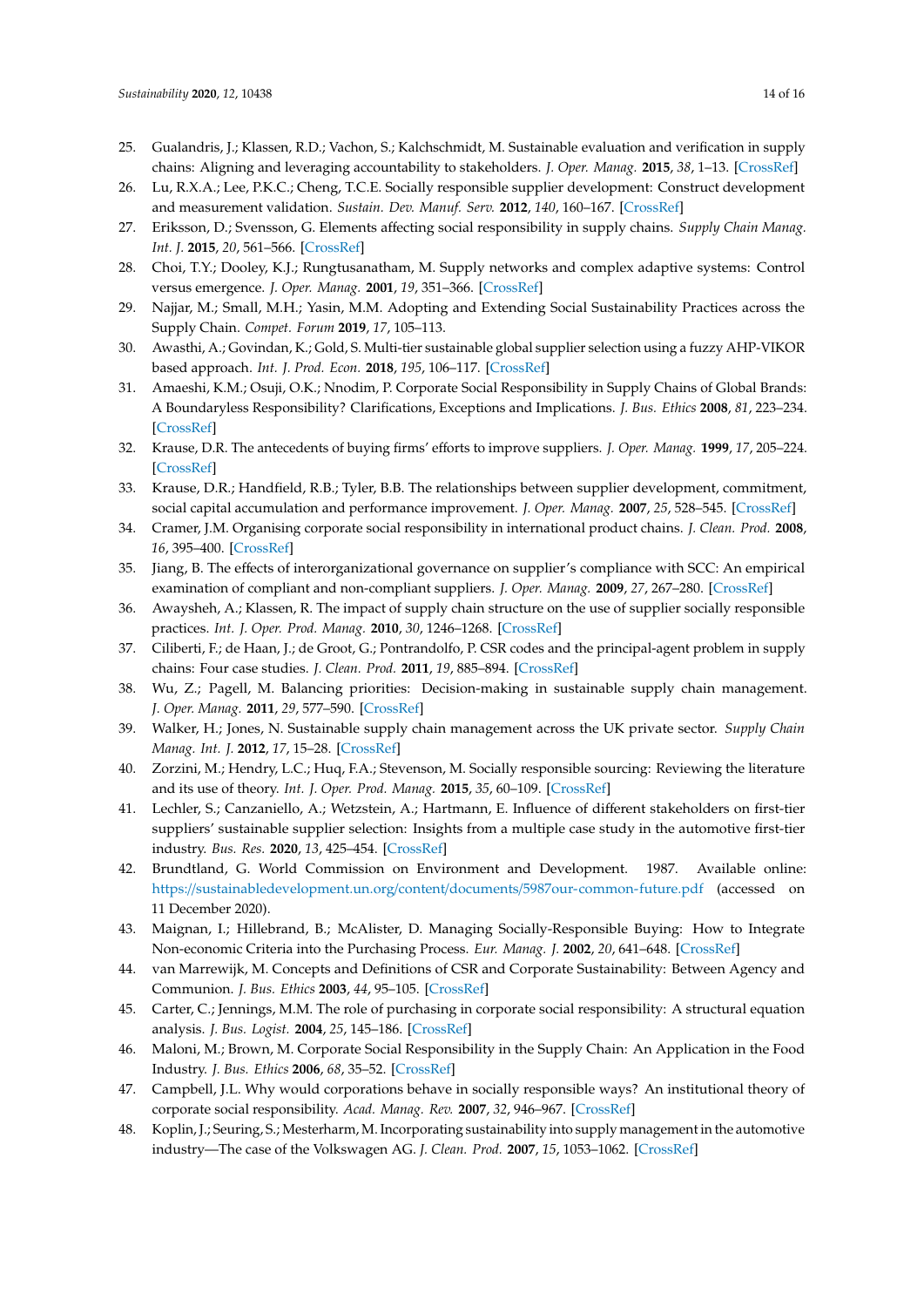- <span id="page-15-0"></span>25. Gualandris, J.; Klassen, R.D.; Vachon, S.; Kalchschmidt, M. Sustainable evaluation and verification in supply chains: Aligning and leveraging accountability to stakeholders. *J. Oper. Manag.* **2015**, *38*, 1–13. [\[CrossRef\]](http://dx.doi.org/10.1016/j.jom.2015.06.002)
- <span id="page-15-1"></span>26. Lu, R.X.A.; Lee, P.K.C.; Cheng, T.C.E. Socially responsible supplier development: Construct development and measurement validation. *Sustain. Dev. Manuf. Serv.* **2012**, *140*, 160–167. [\[CrossRef\]](http://dx.doi.org/10.1016/j.ijpe.2012.01.032)
- <span id="page-15-2"></span>27. Eriksson, D.; Svensson, G. Elements affecting social responsibility in supply chains. *Supply Chain Manag. Int. J.* **2015**, *20*, 561–566. [\[CrossRef\]](http://dx.doi.org/10.1108/SCM-06-2015-0203)
- <span id="page-15-3"></span>28. Choi, T.Y.; Dooley, K.J.; Rungtusanatham, M. Supply networks and complex adaptive systems: Control versus emergence. *J. Oper. Manag.* **2001**, *19*, 351–366. [\[CrossRef\]](http://dx.doi.org/10.1016/S0272-6963(00)00068-1)
- <span id="page-15-18"></span>29. Najjar, M.; Small, M.H.; Yasin, M.M. Adopting and Extending Social Sustainability Practices across the Supply Chain. *Compet. Forum* **2019**, *17*, 105–113.
- <span id="page-15-16"></span>30. Awasthi, A.; Govindan, K.; Gold, S. Multi-tier sustainable global supplier selection using a fuzzy AHP-VIKOR based approach. *Int. J. Prod. Econ.* **2018**, *195*, 106–117. [\[CrossRef\]](http://dx.doi.org/10.1016/j.ijpe.2017.10.013)
- <span id="page-15-4"></span>31. Amaeshi, K.M.; Osuji, O.K.; Nnodim, P. Corporate Social Responsibility in Supply Chains of Global Brands: A Boundaryless Responsibility? Clarifications, Exceptions and Implications. *J. Bus. Ethics* **2008**, *81*, 223–234. [\[CrossRef\]](http://dx.doi.org/10.1007/s10551-007-9490-5)
- <span id="page-15-5"></span>32. Krause, D.R. The antecedents of buying firms' efforts to improve suppliers. *J. Oper. Manag.* **1999**, *17*, 205–224. [\[CrossRef\]](http://dx.doi.org/10.1016/S0272-6963(98)00038-2)
- <span id="page-15-6"></span>33. Krause, D.R.; Handfield, R.B.; Tyler, B.B. The relationships between supplier development, commitment, social capital accumulation and performance improvement. *J. Oper. Manag.* **2007**, *25*, 528–545. [\[CrossRef\]](http://dx.doi.org/10.1016/j.jom.2006.05.007)
- <span id="page-15-7"></span>34. Cramer, J.M. Organising corporate social responsibility in international product chains. *J. Clean. Prod.* **2008**, *16*, 395–400. [\[CrossRef\]](http://dx.doi.org/10.1016/j.jclepro.2007.01.007)
- <span id="page-15-17"></span>35. Jiang, B. The effects of interorganizational governance on supplier's compliance with SCC: An empirical examination of compliant and non-compliant suppliers. *J. Oper. Manag.* **2009**, *27*, 267–280. [\[CrossRef\]](http://dx.doi.org/10.1016/j.jom.2008.09.005)
- <span id="page-15-15"></span>36. Awaysheh, A.; Klassen, R. The impact of supply chain structure on the use of supplier socially responsible practices. *Int. J. Oper. Prod. Manag.* **2010**, *30*, 1246–1268. [\[CrossRef\]](http://dx.doi.org/10.1108/01443571011094253)
- <span id="page-15-21"></span>37. Ciliberti, F.; de Haan, J.; de Groot, G.; Pontrandolfo, P. CSR codes and the principal-agent problem in supply chains: Four case studies. *J. Clean. Prod.* **2011**, *19*, 885–894. [\[CrossRef\]](http://dx.doi.org/10.1016/j.jclepro.2010.09.005)
- <span id="page-15-20"></span>38. Wu, Z.; Pagell, M. Balancing priorities: Decision-making in sustainable supply chain management. *J. Oper. Manag.* **2011**, *29*, 577–590. [\[CrossRef\]](http://dx.doi.org/10.1016/j.jom.2010.10.001)
- 39. Walker, H.; Jones, N. Sustainable supply chain management across the UK private sector. *Supply Chain Manag. Int. J.* **2012**, *17*, 15–28. [\[CrossRef\]](http://dx.doi.org/10.1108/13598541211212177)
- <span id="page-15-14"></span>40. Zorzini, M.; Hendry, L.C.; Huq, F.A.; Stevenson, M. Socially responsible sourcing: Reviewing the literature and its use of theory. *Int. J. Oper. Prod. Manag.* **2015**, *35*, 60–109. [\[CrossRef\]](http://dx.doi.org/10.1108/IJOPM-07-2013-0355)
- <span id="page-15-8"></span>41. Lechler, S.; Canzaniello, A.; Wetzstein, A.; Hartmann, E. Influence of different stakeholders on first-tier suppliers' sustainable supplier selection: Insights from a multiple case study in the automotive first-tier industry. *Bus. Res.* **2020**, *13*, 425–454. [\[CrossRef\]](http://dx.doi.org/10.1007/s40685-019-00103-y)
- <span id="page-15-9"></span>42. Brundtland, G. World Commission on Environment and Development. 1987. Available online: https://[sustainabledevelopment.un.org](https://sustainabledevelopment.un.org/content/documents/5987our-common-future.pdf)/content/documents/5987our-common-future.pdf (accessed on 11 December 2020).
- <span id="page-15-10"></span>43. Maignan, I.; Hillebrand, B.; McAlister, D. Managing Socially-Responsible Buying: How to Integrate Non-economic Criteria into the Purchasing Process. *Eur. Manag. J.* **2002**, *20*, 641–648. [\[CrossRef\]](http://dx.doi.org/10.1016/S0263-2373(02)00115-9)
- <span id="page-15-11"></span>44. van Marrewijk, M. Concepts and Definitions of CSR and Corporate Sustainability: Between Agency and Communion. *J. Bus. Ethics* **2003**, *44*, 95–105. [\[CrossRef\]](http://dx.doi.org/10.1023/A:1023331212247)
- <span id="page-15-12"></span>45. Carter, C.; Jennings, M.M. The role of purchasing in corporate social responsibility: A structural equation analysis. *J. Bus. Logist.* **2004**, *25*, 145–186. [\[CrossRef\]](http://dx.doi.org/10.1002/j.2158-1592.2004.tb00173.x)
- <span id="page-15-13"></span>46. Maloni, M.; Brown, M. Corporate Social Responsibility in the Supply Chain: An Application in the Food Industry. *J. Bus. Ethics* **2006**, *68*, 35–52. [\[CrossRef\]](http://dx.doi.org/10.1007/s10551-006-9038-0)
- <span id="page-15-19"></span>47. Campbell, J.L. Why would corporations behave in socially responsible ways? An institutional theory of corporate social responsibility. *Acad. Manag. Rev.* **2007**, *32*, 946–967. [\[CrossRef\]](http://dx.doi.org/10.5465/amr.2007.25275684)
- 48. Koplin, J.; Seuring, S.; Mesterharm, M. Incorporating sustainability into supply management in the automotive industry—The case of the Volkswagen AG. *J. Clean. Prod.* **2007**, *15*, 1053–1062. [\[CrossRef\]](http://dx.doi.org/10.1016/j.jclepro.2006.05.024)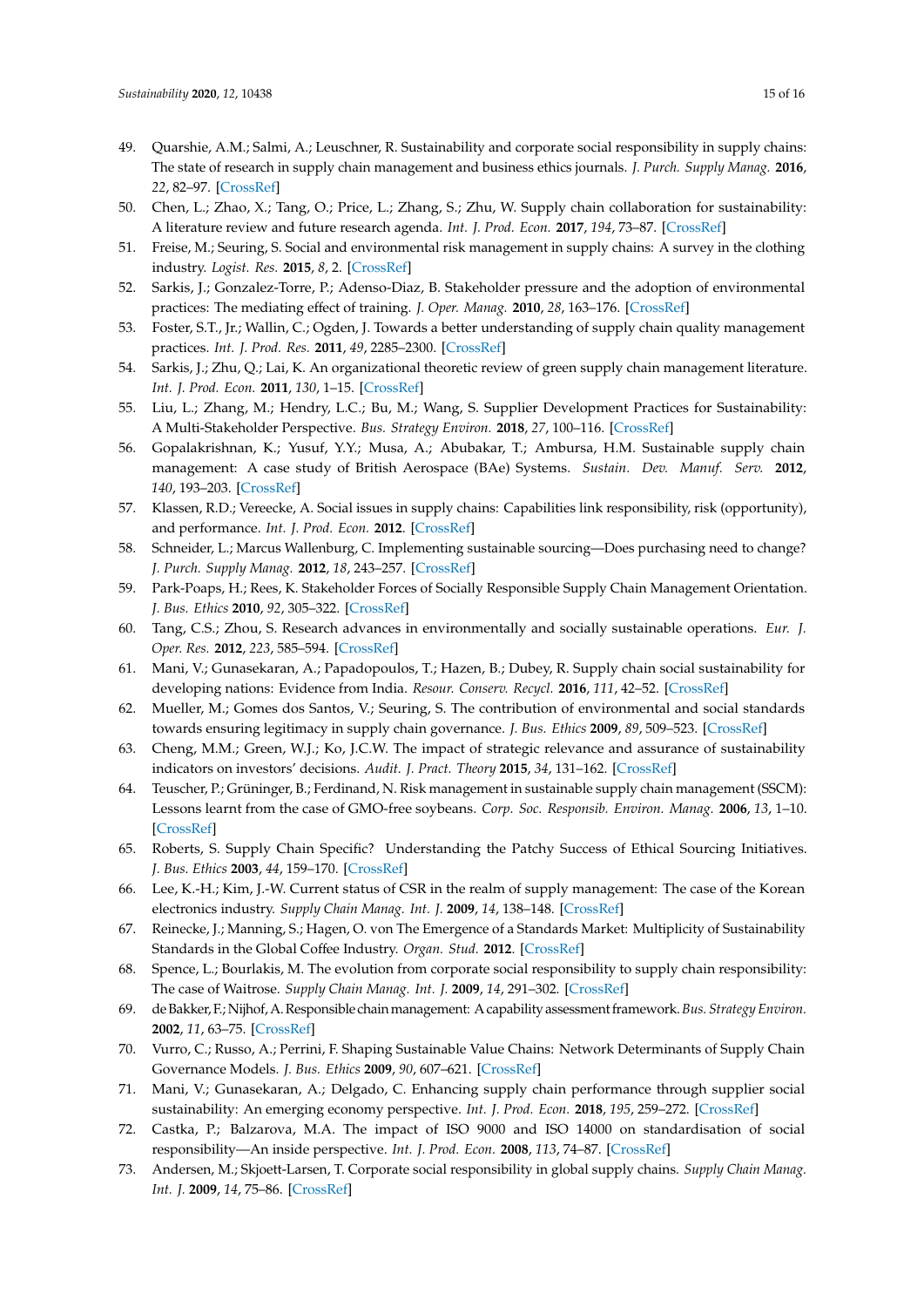- 49. Quarshie, A.M.; Salmi, A.; Leuschner, R. Sustainability and corporate social responsibility in supply chains: The state of research in supply chain management and business ethics journals. *J. Purch. Supply Manag.* **2016**, *22*, 82–97. [\[CrossRef\]](http://dx.doi.org/10.1016/j.pursup.2015.11.001)
- <span id="page-16-0"></span>50. Chen, L.; Zhao, X.; Tang, O.; Price, L.; Zhang, S.; Zhu, W. Supply chain collaboration for sustainability: A literature review and future research agenda. *Int. J. Prod. Econ.* **2017**, *194*, 73–87. [\[CrossRef\]](http://dx.doi.org/10.1016/j.ijpe.2017.04.005)
- <span id="page-16-1"></span>51. Freise, M.; Seuring, S. Social and environmental risk management in supply chains: A survey in the clothing industry. *Logist. Res.* **2015**, *8*, 2. [\[CrossRef\]](http://dx.doi.org/10.1007/s12159-015-0121-8)
- <span id="page-16-2"></span>52. Sarkis, J.; Gonzalez-Torre, P.; Adenso-Diaz, B. Stakeholder pressure and the adoption of environmental practices: The mediating effect of training. *J. Oper. Manag.* **2010**, *28*, 163–176. [\[CrossRef\]](http://dx.doi.org/10.1016/j.jom.2009.10.001)
- 53. Foster, S.T., Jr.; Wallin, C.; Ogden, J. Towards a better understanding of supply chain quality management practices. *Int. J. Prod. Res.* **2011**, *49*, 2285–2300. [\[CrossRef\]](http://dx.doi.org/10.1080/00207541003733791)
- 54. Sarkis, J.; Zhu, Q.; Lai, K. An organizational theoretic review of green supply chain management literature. *Int. J. Prod. Econ.* **2011**, *130*, 1–15. [\[CrossRef\]](http://dx.doi.org/10.1016/j.ijpe.2010.11.010)
- <span id="page-16-3"></span>55. Liu, L.; Zhang, M.; Hendry, L.C.; Bu, M.; Wang, S. Supplier Development Practices for Sustainability: A Multi-Stakeholder Perspective. *Bus. Strategy Environ.* **2018**, *27*, 100–116. [\[CrossRef\]](http://dx.doi.org/10.1002/bse.1987)
- <span id="page-16-4"></span>56. Gopalakrishnan, K.; Yusuf, Y.Y.; Musa, A.; Abubakar, T.; Ambursa, H.M. Sustainable supply chain management: A case study of British Aerospace (BAe) Systems. *Sustain. Dev. Manuf. Serv.* **2012**, *140*, 193–203. [\[CrossRef\]](http://dx.doi.org/10.1016/j.ijpe.2012.01.003)
- <span id="page-16-5"></span>57. Klassen, R.D.; Vereecke, A. Social issues in supply chains: Capabilities link responsibility, risk (opportunity), and performance. *Int. J. Prod. Econ.* **2012**. [\[CrossRef\]](http://dx.doi.org/10.1016/j.ijpe.2012.01.021)
- <span id="page-16-6"></span>58. Schneider, L.; Marcus Wallenburg, C. Implementing sustainable sourcing—Does purchasing need to change? *J. Purch. Supply Manag.* **2012**, *18*, 243–257. [\[CrossRef\]](http://dx.doi.org/10.1016/j.pursup.2012.03.002)
- <span id="page-16-7"></span>59. Park-Poaps, H.; Rees, K. Stakeholder Forces of Socially Responsible Supply Chain Management Orientation. *J. Bus. Ethics* **2010**, *92*, 305–322. [\[CrossRef\]](http://dx.doi.org/10.1007/s10551-009-0156-3)
- <span id="page-16-12"></span>60. Tang, C.S.; Zhou, S. Research advances in environmentally and socially sustainable operations. *Eur. J. Oper. Res.* **2012**, *223*, 585–594. [\[CrossRef\]](http://dx.doi.org/10.1016/j.ejor.2012.07.030)
- <span id="page-16-8"></span>61. Mani, V.; Gunasekaran, A.; Papadopoulos, T.; Hazen, B.; Dubey, R. Supply chain social sustainability for developing nations: Evidence from India. *Resour. Conserv. Recycl.* **2016**, *111*, 42–52. [\[CrossRef\]](http://dx.doi.org/10.1016/j.resconrec.2016.04.003)
- <span id="page-16-9"></span>62. Mueller, M.; Gomes dos Santos, V.; Seuring, S. The contribution of environmental and social standards towards ensuring legitimacy in supply chain governance. *J. Bus. Ethics* **2009**, *89*, 509–523. [\[CrossRef\]](http://dx.doi.org/10.1007/s10551-008-0013-9)
- <span id="page-16-10"></span>63. Cheng, M.M.; Green, W.J.; Ko, J.C.W. The impact of strategic relevance and assurance of sustainability indicators on investors' decisions. *Audit. J. Pract. Theory* **2015**, *34*, 131–162. [\[CrossRef\]](http://dx.doi.org/10.2308/ajpt-50738)
- <span id="page-16-11"></span>64. Teuscher, P.; Grüninger, B.; Ferdinand, N. Risk management in sustainable supply chain management (SSCM): Lessons learnt from the case of GMO-free soybeans. *Corp. Soc. Responsib. Environ. Manag.* **2006**, *13*, 1–10. [\[CrossRef\]](http://dx.doi.org/10.1002/csr.81)
- <span id="page-16-13"></span>65. Roberts, S. Supply Chain Specific? Understanding the Patchy Success of Ethical Sourcing Initiatives. *J. Bus. Ethics* **2003**, *44*, 159–170. [\[CrossRef\]](http://dx.doi.org/10.1023/A:1023395631811)
- <span id="page-16-14"></span>66. Lee, K.-H.; Kim, J.-W. Current status of CSR in the realm of supply management: The case of the Korean electronics industry. *Supply Chain Manag. Int. J.* **2009**, *14*, 138–148. [\[CrossRef\]](http://dx.doi.org/10.1108/13598540910942000)
- <span id="page-16-15"></span>67. Reinecke, J.; Manning, S.; Hagen, O. von The Emergence of a Standards Market: Multiplicity of Sustainability Standards in the Global Coffee Industry. *Organ. Stud.* **2012**. [\[CrossRef\]](http://dx.doi.org/10.1177/0170840612443629)
- <span id="page-16-16"></span>68. Spence, L.; Bourlakis, M. The evolution from corporate social responsibility to supply chain responsibility: The case of Waitrose. *Supply Chain Manag. Int. J.* **2009**, *14*, 291–302. [\[CrossRef\]](http://dx.doi.org/10.1108/13598540910970126)
- <span id="page-16-17"></span>69. de Bakker, F.; Nijhof, A. Responsible chainmanagement: A capability assessment framework.*Bus. Strategy Environ.* **2002**, *11*, 63–75. [\[CrossRef\]](http://dx.doi.org/10.1002/bse.319)
- <span id="page-16-18"></span>70. Vurro, C.; Russo, A.; Perrini, F. Shaping Sustainable Value Chains: Network Determinants of Supply Chain Governance Models. *J. Bus. Ethics* **2009**, *90*, 607–621. [\[CrossRef\]](http://dx.doi.org/10.1007/s10551-010-0595-x)
- <span id="page-16-19"></span>71. Mani, V.; Gunasekaran, A.; Delgado, C. Enhancing supply chain performance through supplier social sustainability: An emerging economy perspective. *Int. J. Prod. Econ.* **2018**, *195*, 259–272. [\[CrossRef\]](http://dx.doi.org/10.1016/j.ijpe.2017.10.025)
- <span id="page-16-20"></span>72. Castka, P.; Balzarova, M.A. The impact of ISO 9000 and ISO 14000 on standardisation of social responsibility—An inside perspective. *Int. J. Prod. Econ.* **2008**, *113*, 74–87. [\[CrossRef\]](http://dx.doi.org/10.1016/j.ijpe.2007.02.048)
- <span id="page-16-21"></span>73. Andersen, M.; Skjoett-Larsen, T. Corporate social responsibility in global supply chains. *Supply Chain Manag. Int. J.* **2009**, *14*, 75–86. [\[CrossRef\]](http://dx.doi.org/10.1108/13598540910941948)